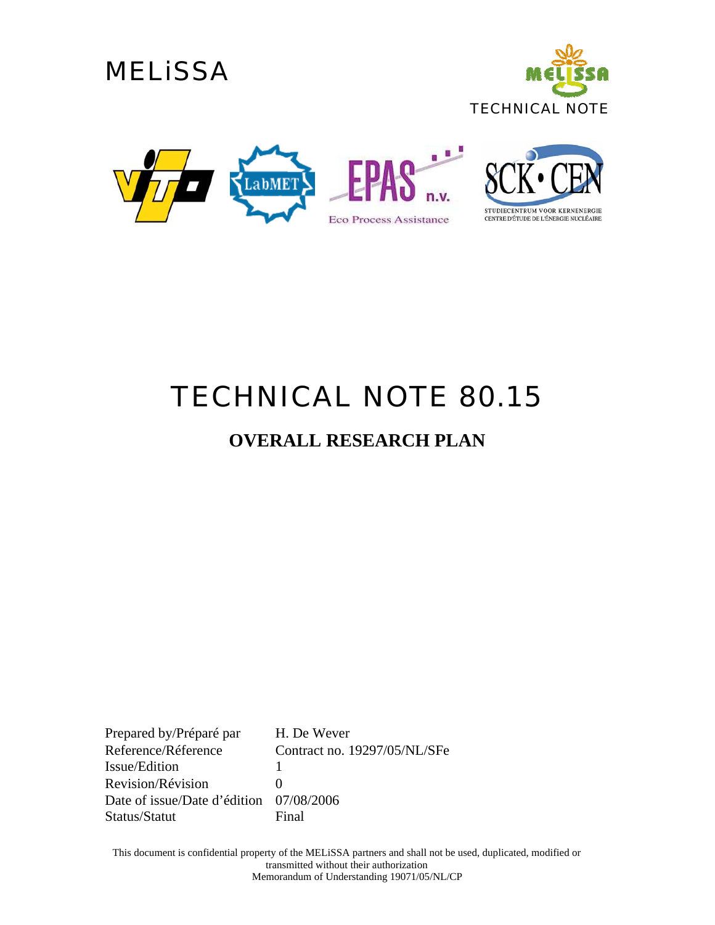





# *TECHNICAL NOTE 80.15*

#### **OVERALL RESEARCH PLAN**

Prepared by/Préparé par H. De Wever Reference/Réference Contract no. 19297/05/NL/SFe Issue/Edition 1 Revision/Révision 0 Date of issue/Date d'édition 07/08/2006 Status/Statut Final

This document is confidential property of the MELiSSA partners and shall not be used, duplicated, modified or transmitted without their authorization Memorandum of Understanding 19071/05/NL/CP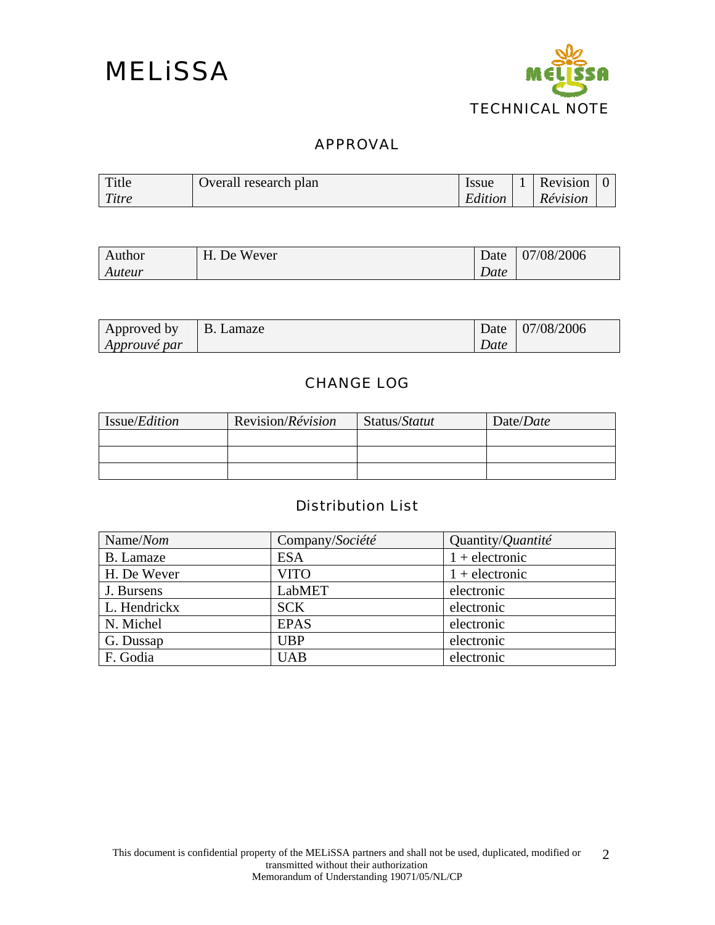

#### APPROVAL

| Title | Overall research plan | <b>Issue</b> | Revision |  |
|-------|-----------------------|--------------|----------|--|
| Titre |                       | Edition      | Révision |  |

| Author | H. De Wever | Date | 07/08/2006 |
|--------|-------------|------|------------|
| Auteur |             | Date |            |

| Approved by  | B. Lamaze |      | Date 07/08/2006 |
|--------------|-----------|------|-----------------|
| Approuvé par |           | Date |                 |

#### CHANGE LOG

| Issue/ <i>Edition</i> | Revision/Révision | Status/Statut | Date/Date |
|-----------------------|-------------------|---------------|-----------|
|                       |                   |               |           |
|                       |                   |               |           |
|                       |                   |               |           |

#### Distribution List

| Name/Nom     | Company/Société | Quantity/ <i>Quantité</i> |
|--------------|-----------------|---------------------------|
| B. Lamaze    | <b>ESA</b>      | $1 +$ electronic          |
| H. De Wever  | <b>VITO</b>     | $1 +$ electronic          |
| J. Bursens   | LabMET          | electronic                |
| L. Hendrickx | <b>SCK</b>      | electronic                |
| N. Michel    | <b>EPAS</b>     | electronic                |
| G. Dussap    | <b>UBP</b>      | electronic                |
| F. Godia     | <b>UAB</b>      | electronic                |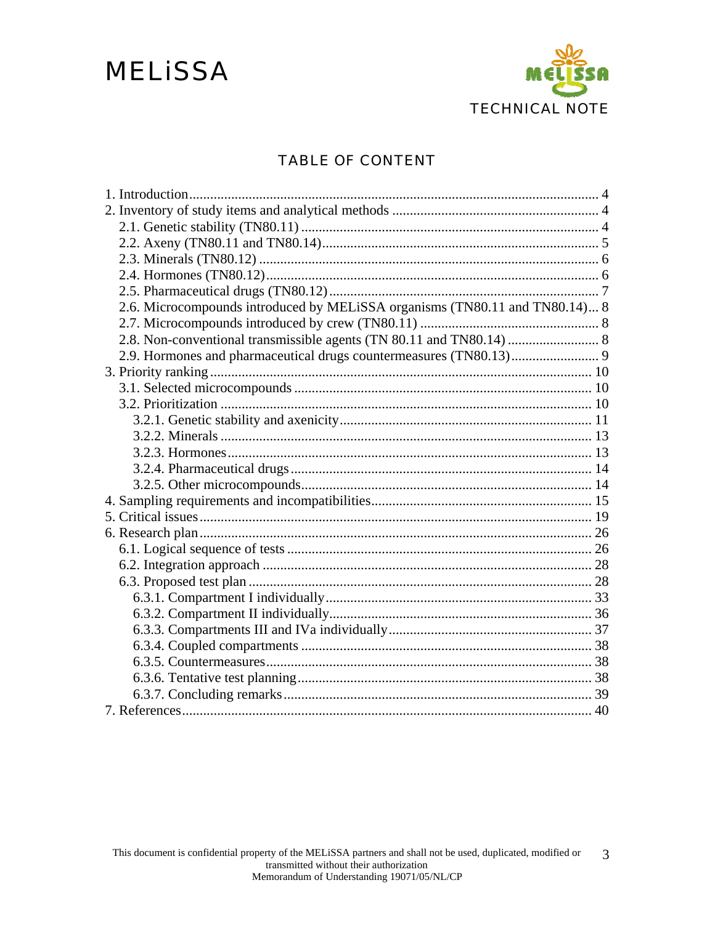### **MELISSA**



#### **TABLE OF CONTENT**

| 2.6. Microcompounds introduced by MELiSSA organisms (TN80.11 and TN80.14) 8 |
|-----------------------------------------------------------------------------|
|                                                                             |
|                                                                             |
| 2.9. Hormones and pharmaceutical drugs countermeasures (TN80.13) 9          |
|                                                                             |
|                                                                             |
|                                                                             |
|                                                                             |
|                                                                             |
|                                                                             |
|                                                                             |
|                                                                             |
|                                                                             |
|                                                                             |
|                                                                             |
|                                                                             |
|                                                                             |
|                                                                             |
|                                                                             |
|                                                                             |
|                                                                             |
|                                                                             |
|                                                                             |
|                                                                             |
|                                                                             |
|                                                                             |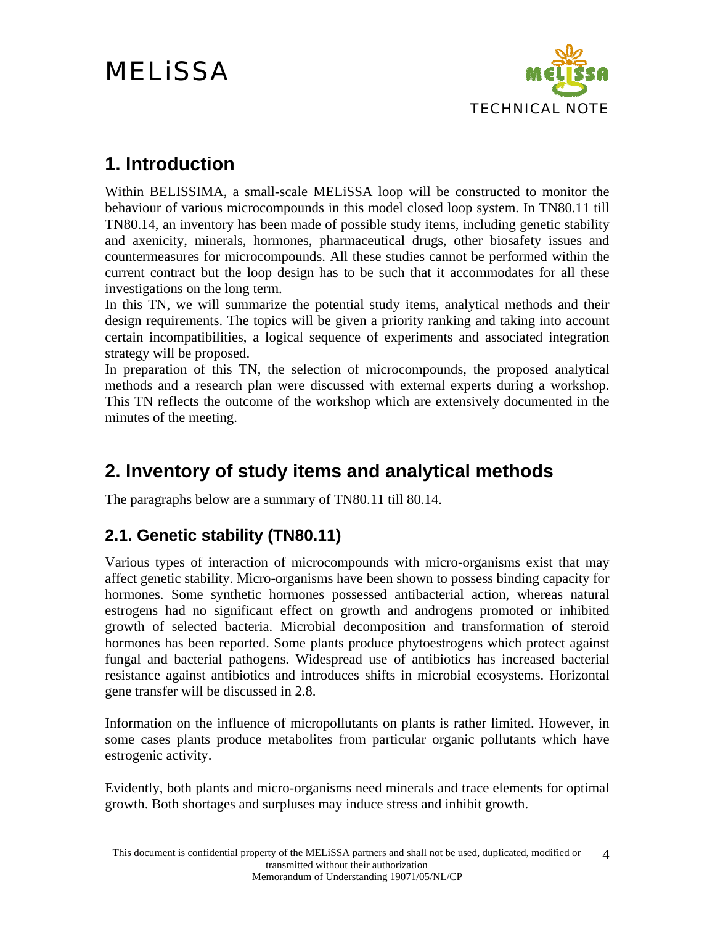

#### <span id="page-3-0"></span>**1. Introduction**

Within BELISSIMA, a small-scale MELiSSA loop will be constructed to monitor the behaviour of various microcompounds in this model closed loop system. In TN80.11 till TN80.14, an inventory has been made of possible study items, including genetic stability and axenicity, minerals, hormones, pharmaceutical drugs, other biosafety issues and countermeasures for microcompounds. All these studies cannot be performed within the current contract but the loop design has to be such that it accommodates for all these investigations on the long term.

In this TN, we will summarize the potential study items, analytical methods and their design requirements. The topics will be given a priority ranking and taking into account certain incompatibilities, a logical sequence of experiments and associated integration strategy will be proposed.

In preparation of this TN, the selection of microcompounds, the proposed analytical methods and a research plan were discussed with external experts during a workshop. This TN reflects the outcome of the workshop which are extensively documented in the minutes of the meeting.

#### **2. Inventory of study items and analytical methods**

The paragraphs below are a summary of TN80.11 till 80.14.

#### **2.1. Genetic stability (TN80.11)**

Various types of interaction of microcompounds with micro-organisms exist that may affect genetic stability. Micro-organisms have been shown to possess binding capacity for hormones. Some synthetic hormones possessed antibacterial action, whereas natural estrogens had no significant effect on growth and androgens promoted or inhibited growth of selected bacteria. Microbial decomposition and transformation of steroid hormones has been reported. Some plants produce phytoestrogens which protect against fungal and bacterial pathogens. Widespread use of antibiotics has increased bacterial resistance against antibiotics and introduces shifts in microbial ecosystems. Horizontal gene transfer will be discussed in [2.8.](#page-7-1)

Information on the influence of micropollutants on plants is rather limited. However, in some cases plants produce metabolites from particular organic pollutants which have estrogenic activity.

Evidently, both plants and micro-organisms need minerals and trace elements for optimal growth. Both shortages and surpluses may induce stress and inhibit growth.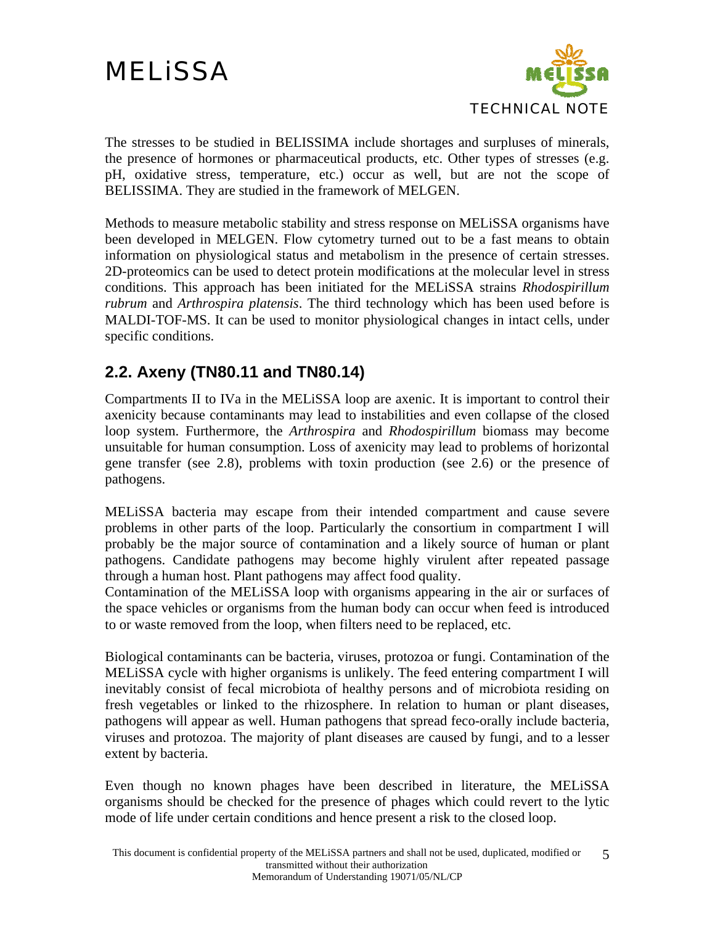

<span id="page-4-0"></span>The stresses to be studied in BELISSIMA include shortages and surpluses of minerals, the presence of hormones or pharmaceutical products, etc. Other types of stresses (e.g. pH, oxidative stress, temperature, etc.) occur as well, but are not the scope of BELISSIMA. They are studied in the framework of MELGEN.

Methods to measure metabolic stability and stress response on MELiSSA organisms have been developed in MELGEN. Flow cytometry turned out to be a fast means to obtain information on physiological status and metabolism in the presence of certain stresses. 2D-proteomics can be used to detect protein modifications at the molecular level in stress conditions. This approach has been initiated for the MELiSSA strains *Rhodospirillum rubrum* and *Arthrospira platensis*. The third technology which has been used before is MALDI-TOF-MS. It can be used to monitor physiological changes in intact cells, under specific conditions.

#### **2.2. Axeny (TN80.11 and TN80.14)**

Compartments II to IVa in the MELiSSA loop are axenic. It is important to control their axenicity because contaminants may lead to instabilities and even collapse of the closed loop system. Furthermore, the *Arthrospira* and *Rhodospirillum* biomass may become unsuitable for human consumption. Loss of axenicity may lead to problems of horizontal gene transfer (see [2.8\)](#page-7-1), problems with toxin production (see [2.6\)](#page-7-2) or the presence of pathogens.

MELiSSA bacteria may escape from their intended compartment and cause severe problems in other parts of the loop. Particularly the consortium in compartment I will probably be the major source of contamination and a likely source of human or plant pathogens. Candidate pathogens may become highly virulent after repeated passage through a human host. Plant pathogens may affect food quality.

Contamination of the MELiSSA loop with organisms appearing in the air or surfaces of the space vehicles or organisms from the human body can occur when feed is introduced to or waste removed from the loop, when filters need to be replaced, etc.

Biological contaminants can be bacteria, viruses, protozoa or fungi. Contamination of the MELiSSA cycle with higher organisms is unlikely. The feed entering compartment I will inevitably consist of fecal microbiota of healthy persons and of microbiota residing on fresh vegetables or linked to the rhizosphere. In relation to human or plant diseases, pathogens will appear as well. Human pathogens that spread feco-orally include bacteria, viruses and protozoa. The majority of plant diseases are caused by fungi, and to a lesser extent by bacteria.

Even though no known phages have been described in literature, the MELiSSA organisms should be checked for the presence of phages which could revert to the lytic mode of life under certain conditions and hence present a risk to the closed loop.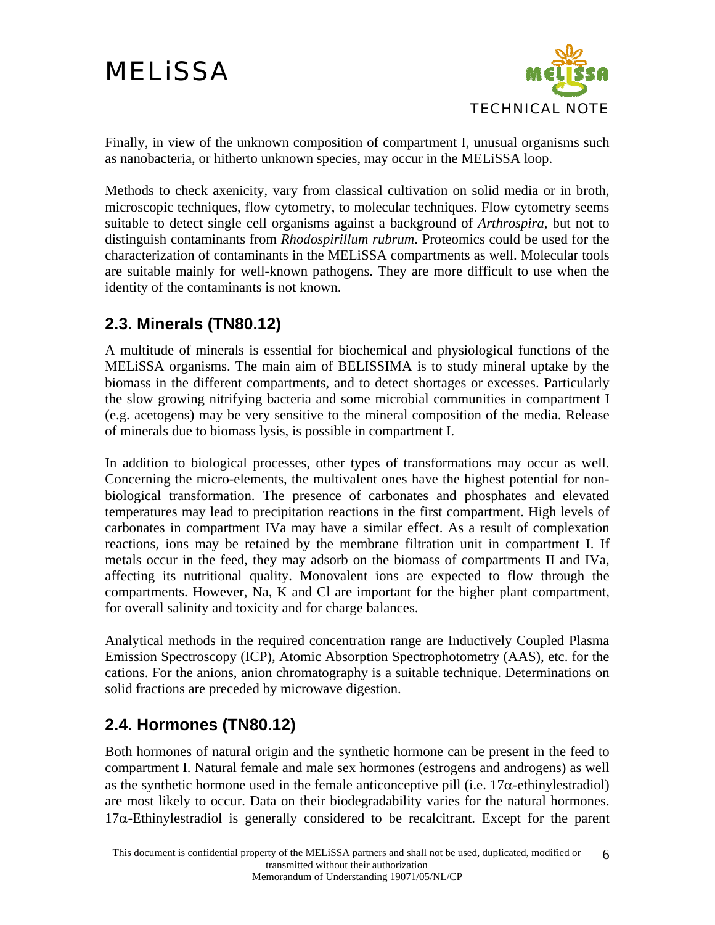

<span id="page-5-0"></span>Finally, in view of the unknown composition of compartment I, unusual organisms such as nanobacteria, or hitherto unknown species, may occur in the MELiSSA loop.

Methods to check axenicity, vary from classical cultivation on solid media or in broth, microscopic techniques, flow cytometry, to molecular techniques. Flow cytometry seems suitable to detect single cell organisms against a background of *Arthrospira*, but not to distinguish contaminants from *Rhodospirillum rubrum*. Proteomics could be used for the characterization of contaminants in the MELiSSA compartments as well. Molecular tools are suitable mainly for well-known pathogens. They are more difficult to use when the identity of the contaminants is not known.

#### **2.3. Minerals (TN80.12)**

A multitude of minerals is essential for biochemical and physiological functions of the MELiSSA organisms. The main aim of BELISSIMA is to study mineral uptake by the biomass in the different compartments, and to detect shortages or excesses. Particularly the slow growing nitrifying bacteria and some microbial communities in compartment I (e.g. acetogens) may be very sensitive to the mineral composition of the media. Release of minerals due to biomass lysis, is possible in compartment I.

In addition to biological processes, other types of transformations may occur as well. Concerning the micro-elements, the multivalent ones have the highest potential for nonbiological transformation. The presence of carbonates and phosphates and elevated temperatures may lead to precipitation reactions in the first compartment. High levels of carbonates in compartment IVa may have a similar effect. As a result of complexation reactions, ions may be retained by the membrane filtration unit in compartment I. If metals occur in the feed, they may adsorb on the biomass of compartments II and IVa, affecting its nutritional quality. Monovalent ions are expected to flow through the compartments. However, Na, K and Cl are important for the higher plant compartment, for overall salinity and toxicity and for charge balances.

Analytical methods in the required concentration range are Inductively Coupled Plasma Emission Spectroscopy (ICP), Atomic Absorption Spectrophotometry (AAS), etc. for the cations. For the anions, anion chromatography is a suitable technique. Determinations on solid fractions are preceded by microwave digestion.

#### **2.4. Hormones (TN80.12)**

Both hormones of natural origin and the synthetic hormone can be present in the feed to compartment I. Natural female and male sex hormones (estrogens and androgens) as well as the synthetic hormone used in the female anticonceptive pill (i.e.  $17\alpha$ -ethinylestradiol) are most likely to occur. Data on their biodegradability varies for the natural hormones.  $17\alpha$ -Ethinylestradiol is generally considered to be recalcitrant. Except for the parent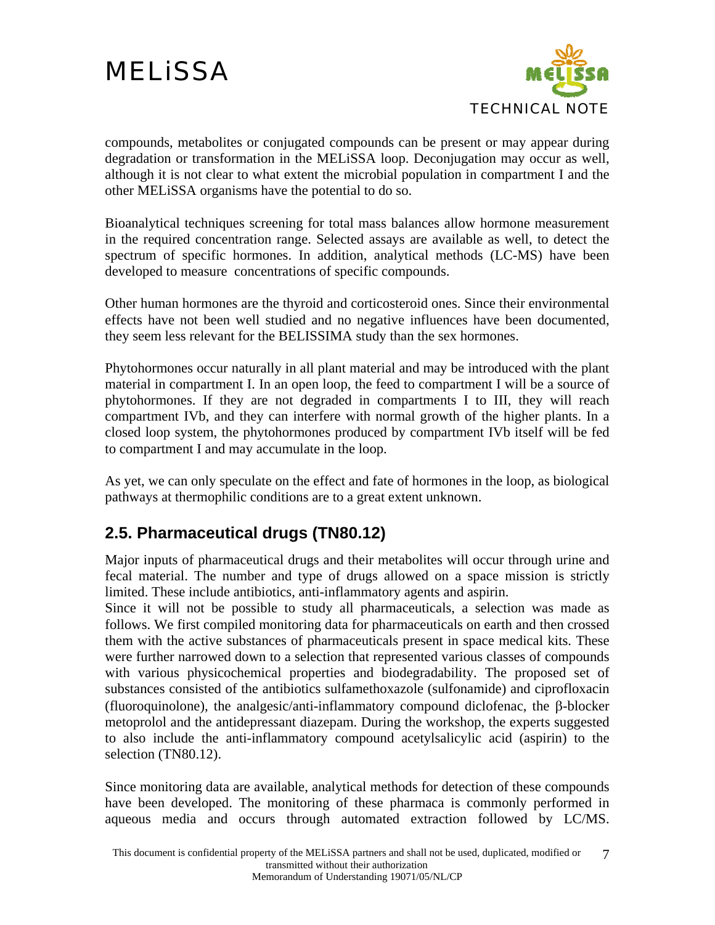

<span id="page-6-0"></span>compounds, metabolites or conjugated compounds can be present or may appear during degradation or transformation in the MELiSSA loop. Deconjugation may occur as well, although it is not clear to what extent the microbial population in compartment I and the other MELiSSA organisms have the potential to do so.

Bioanalytical techniques screening for total mass balances allow hormone measurement in the required concentration range. Selected assays are available as well, to detect the spectrum of specific hormones. In addition, analytical methods (LC-MS) have been developed to measure concentrations of specific compounds.

Other human hormones are the thyroid and corticosteroid ones. Since their environmental effects have not been well studied and no negative influences have been documented, they seem less relevant for the BELISSIMA study than the sex hormones.

Phytohormones occur naturally in all plant material and may be introduced with the plant material in compartment I. In an open loop, the feed to compartment I will be a source of phytohormones. If they are not degraded in compartments I to III, they will reach compartment IVb, and they can interfere with normal growth of the higher plants. In a closed loop system, the phytohormones produced by compartment IVb itself will be fed to compartment I and may accumulate in the loop.

As yet, we can only speculate on the effect and fate of hormones in the loop, as biological pathways at thermophilic conditions are to a great extent unknown.

#### **2.5. Pharmaceutical drugs (TN80.12)**

Major inputs of pharmaceutical drugs and their metabolites will occur through urine and fecal material. The number and type of drugs allowed on a space mission is strictly limited. These include antibiotics, anti-inflammatory agents and aspirin.

Since it will not be possible to study all pharmaceuticals, a selection was made as follows. We first compiled monitoring data for pharmaceuticals on earth and then crossed them with the active substances of pharmaceuticals present in space medical kits. These were further narrowed down to a selection that represented various classes of compounds with various physicochemical properties and biodegradability. The proposed set of substances consisted of the antibiotics sulfamethoxazole (sulfonamide) and ciprofloxacin (fluoroquinolone), the analgesic/anti-inflammatory compound diclofenac, the β-blocker metoprolol and the antidepressant diazepam. During the workshop, the experts suggested to also include the anti-inflammatory compound acetylsalicylic acid (aspirin) to the selection (TN80.12).

Since monitoring data are available, analytical methods for detection of these compounds have been developed. The monitoring of these pharmaca is commonly performed in aqueous media and occurs through automated extraction followed by LC/MS.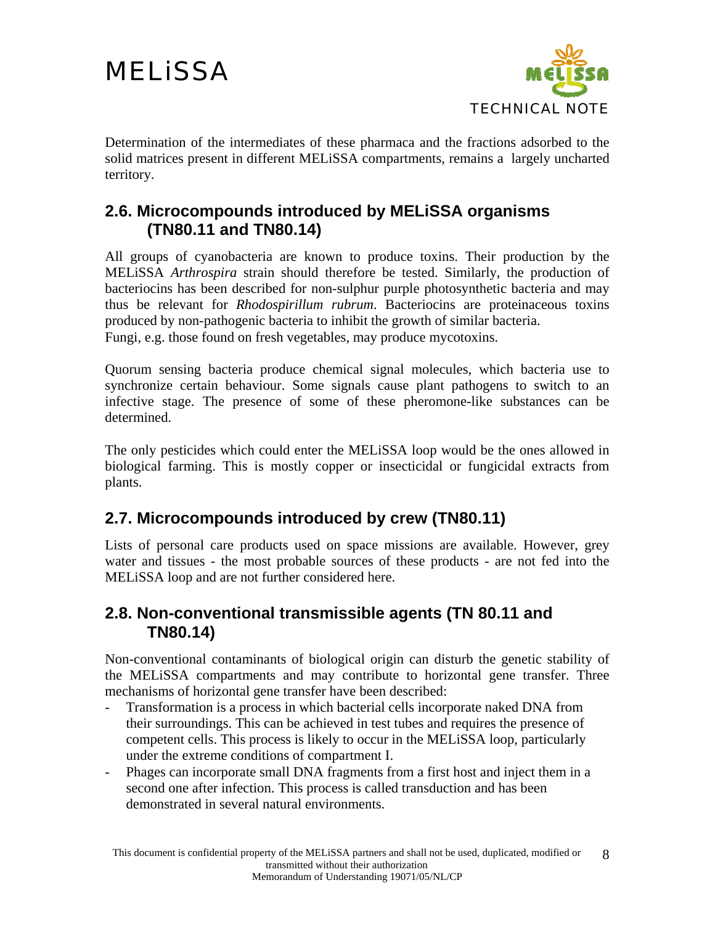

<span id="page-7-0"></span>Determination of the intermediates of these pharmaca and the fractions adsorbed to the solid matrices present in different MELiSSA compartments, remains a largely uncharted territory.

#### <span id="page-7-2"></span>**2.6. Microcompounds introduced by MELiSSA organisms (TN80.11 and TN80.14)**

All groups of cyanobacteria are known to produce toxins. Their production by the MELiSSA *Arthrospira* strain should therefore be tested. Similarly, the production of bacteriocins has been described for non-sulphur purple photosynthetic bacteria and may thus be relevant for *Rhodospirillum rubrum*. Bacteriocins are proteinaceous toxins produced by non-pathogenic bacteria to inhibit the growth of similar bacteria. Fungi, e.g. those found on fresh vegetables, may produce mycotoxins.

Quorum sensing bacteria produce chemical signal molecules, which bacteria use to synchronize certain behaviour. Some signals cause plant pathogens to switch to an infective stage. The presence of some of these pheromone-like substances can be determined.

The only pesticides which could enter the MELiSSA loop would be the ones allowed in biological farming. This is mostly copper or insecticidal or fungicidal extracts from plants.

#### **2.7. Microcompounds introduced by crew (TN80.11)**

Lists of personal care products used on space missions are available. However, grey water and tissues - the most probable sources of these products - are not fed into the MELiSSA loop and are not further considered here.

#### <span id="page-7-1"></span>**2.8. Non-conventional transmissible agents (TN 80.11 and TN80.14)**

Non-conventional contaminants of biological origin can disturb the genetic stability of the MELiSSA compartments and may contribute to horizontal gene transfer. Three mechanisms of horizontal gene transfer have been described:

- Transformation is a process in which bacterial cells incorporate naked DNA from their surroundings. This can be achieved in test tubes and requires the presence of competent cells. This process is likely to occur in the MELiSSA loop, particularly under the extreme conditions of compartment I.
- Phages can incorporate small DNA fragments from a first host and inject them in a second one after infection. This process is called transduction and has been demonstrated in several natural environments.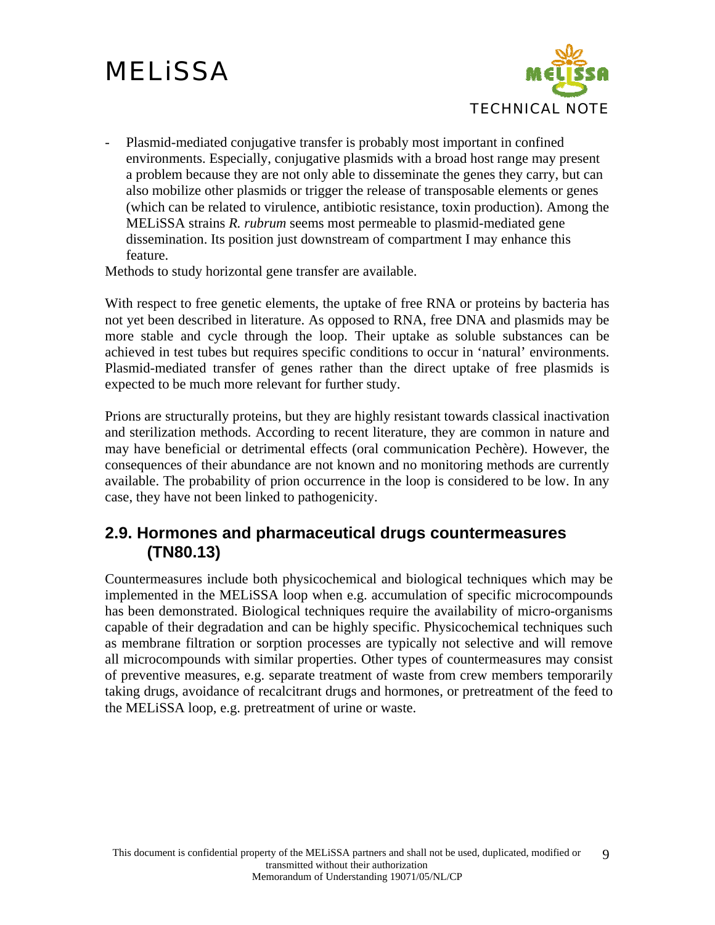

<span id="page-8-0"></span>- Plasmid-mediated conjugative transfer is probably most important in confined environments. Especially, conjugative plasmids with a broad host range may present a problem because they are not only able to disseminate the genes they carry, but can also mobilize other plasmids or trigger the release of transposable elements or genes (which can be related to virulence, antibiotic resistance, toxin production). Among the MELiSSA strains *R. rubrum* seems most permeable to plasmid-mediated gene dissemination. Its position just downstream of compartment I may enhance this feature.

Methods to study horizontal gene transfer are available.

With respect to free genetic elements, the uptake of free RNA or proteins by bacteria has not yet been described in literature. As opposed to RNA, free DNA and plasmids may be more stable and cycle through the loop. Their uptake as soluble substances can be achieved in test tubes but requires specific conditions to occur in 'natural' environments. Plasmid-mediated transfer of genes rather than the direct uptake of free plasmids is expected to be much more relevant for further study.

Prions are structurally proteins, but they are highly resistant towards classical inactivation and sterilization methods. According to recent literature, they are common in nature and may have beneficial or detrimental effects (oral communication Pechère). However, the consequences of their abundance are not known and no monitoring methods are currently available. The probability of prion occurrence in the loop is considered to be low. In any case, they have not been linked to pathogenicity.

#### **2.9. Hormones and pharmaceutical drugs countermeasures (TN80.13)**

Countermeasures include both physicochemical and biological techniques which may be implemented in the MELiSSA loop when e.g. accumulation of specific microcompounds has been demonstrated. Biological techniques require the availability of micro-organisms capable of their degradation and can be highly specific. Physicochemical techniques such as membrane filtration or sorption processes are typically not selective and will remove all microcompounds with similar properties. Other types of countermeasures may consist of preventive measures, e.g. separate treatment of waste from crew members temporarily taking drugs, avoidance of recalcitrant drugs and hormones, or pretreatment of the feed to the MELiSSA loop, e.g. pretreatment of urine or waste.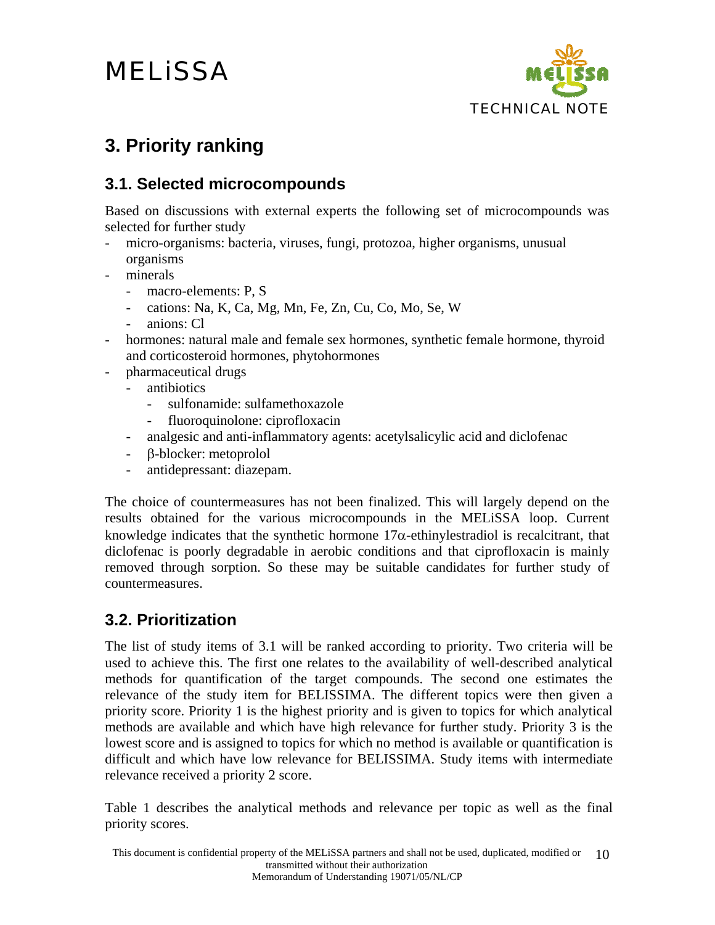

#### <span id="page-9-0"></span>**3. Priority ranking**

#### <span id="page-9-1"></span>**3.1. Selected microcompounds**

Based on discussions with external experts the following set of microcompounds was selected for further study

- micro-organisms: bacteria, viruses, fungi, protozoa, higher organisms, unusual organisms
- minerals
	- macro-elements: P, S
	- cations: Na, K, Ca, Mg, Mn, Fe, Zn, Cu, Co, Mo, Se, W
	- anions: Cl
- hormones: natural male and female sex hormones, synthetic female hormone, thyroid and corticosteroid hormones, phytohormones
- pharmaceutical drugs
	- antibiotics
		- sulfonamide: sulfamethoxazole
		- fluoroquinolone: ciprofloxacin
	- analgesic and anti-inflammatory agents: acetylsalicylic acid and diclofenac
	- β-blocker: metoprolol
	- antidepressant: diazepam.

The choice of countermeasures has not been finalized. This will largely depend on the results obtained for the various microcompounds in the MELiSSA loop. Current knowledge indicates that the synthetic hormone  $17\alpha$ -ethinylestradiol is recalcitrant, that diclofenac is poorly degradable in aerobic conditions and that ciprofloxacin is mainly removed through sorption. So these may be suitable candidates for further study of countermeasures.

#### **3.2. Prioritization**

The list of study items of [3.1](#page-9-1) will be ranked according to priority. Two criteria will be used to achieve this. The first one relates to the availability of well-described analytical methods for quantification of the target compounds. The second one estimates the relevance of the study item for BELISSIMA. The different topics were then given a priority score. Priority 1 is the highest priority and is given to topics for which analytical methods are available and which have high relevance for further study. Priority 3 is the lowest score and is assigned to topics for which no method is available or quantification is difficult and which have low relevance for BELISSIMA. Study items with intermediate relevance received a priority 2 score.

[Table 1](#page-11-0) describes the analytical methods and relevance per topic as well as the final priority scores.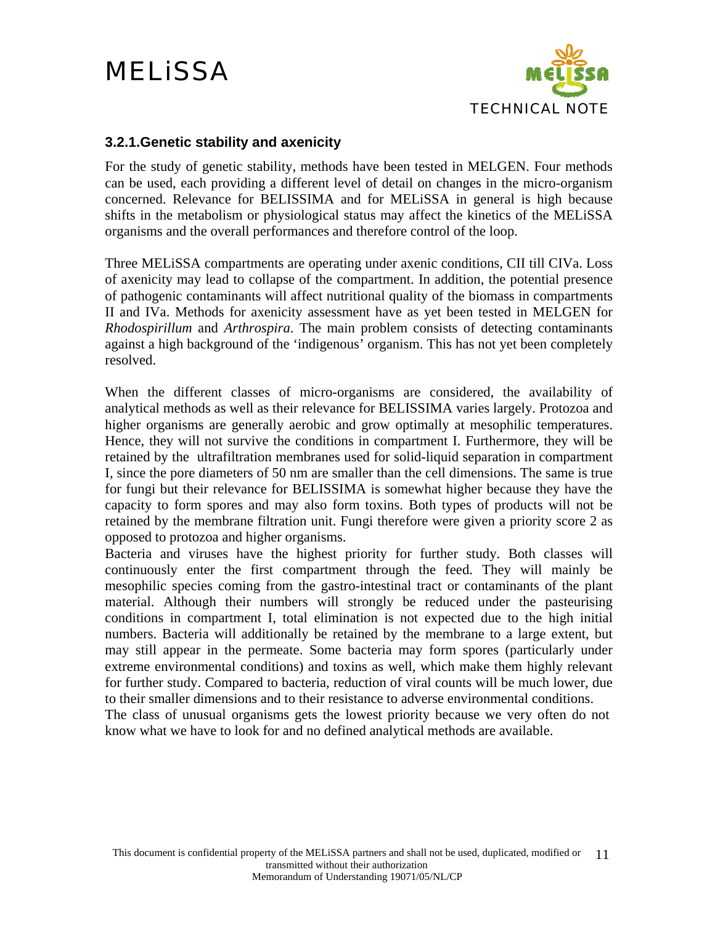

#### <span id="page-10-0"></span>**3.2.1.Genetic stability and axenicity**

For the study of genetic stability, methods have been tested in MELGEN. Four methods can be used, each providing a different level of detail on changes in the micro-organism concerned. Relevance for BELISSIMA and for MELiSSA in general is high because shifts in the metabolism or physiological status may affect the kinetics of the MELiSSA organisms and the overall performances and therefore control of the loop.

Three MELiSSA compartments are operating under axenic conditions, CII till CIVa. Loss of axenicity may lead to collapse of the compartment. In addition, the potential presence of pathogenic contaminants will affect nutritional quality of the biomass in compartments II and IVa. Methods for axenicity assessment have as yet been tested in MELGEN for *Rhodospirillum* and *Arthrospira*. The main problem consists of detecting contaminants against a high background of the 'indigenous' organism. This has not yet been completely resolved.

When the different classes of micro-organisms are considered, the availability of analytical methods as well as their relevance for BELISSIMA varies largely. Protozoa and higher organisms are generally aerobic and grow optimally at mesophilic temperatures. Hence, they will not survive the conditions in compartment I. Furthermore, they will be retained by the ultrafiltration membranes used for solid-liquid separation in compartment I, since the pore diameters of 50 nm are smaller than the cell dimensions. The same is true for fungi but their relevance for BELISSIMA is somewhat higher because they have the capacity to form spores and may also form toxins. Both types of products will not be retained by the membrane filtration unit. Fungi therefore were given a priority score 2 as opposed to protozoa and higher organisms.

Bacteria and viruses have the highest priority for further study. Both classes will continuously enter the first compartment through the feed. They will mainly be mesophilic species coming from the gastro-intestinal tract or contaminants of the plant material. Although their numbers will strongly be reduced under the pasteurising conditions in compartment I, total elimination is not expected due to the high initial numbers. Bacteria will additionally be retained by the membrane to a large extent, but may still appear in the permeate. Some bacteria may form spores (particularly under extreme environmental conditions) and toxins as well, which make them highly relevant for further study. Compared to bacteria, reduction of viral counts will be much lower, due to their smaller dimensions and to their resistance to adverse environmental conditions. The class of unusual organisms gets the lowest priority because we very often do not

know what we have to look for and no defined analytical methods are available.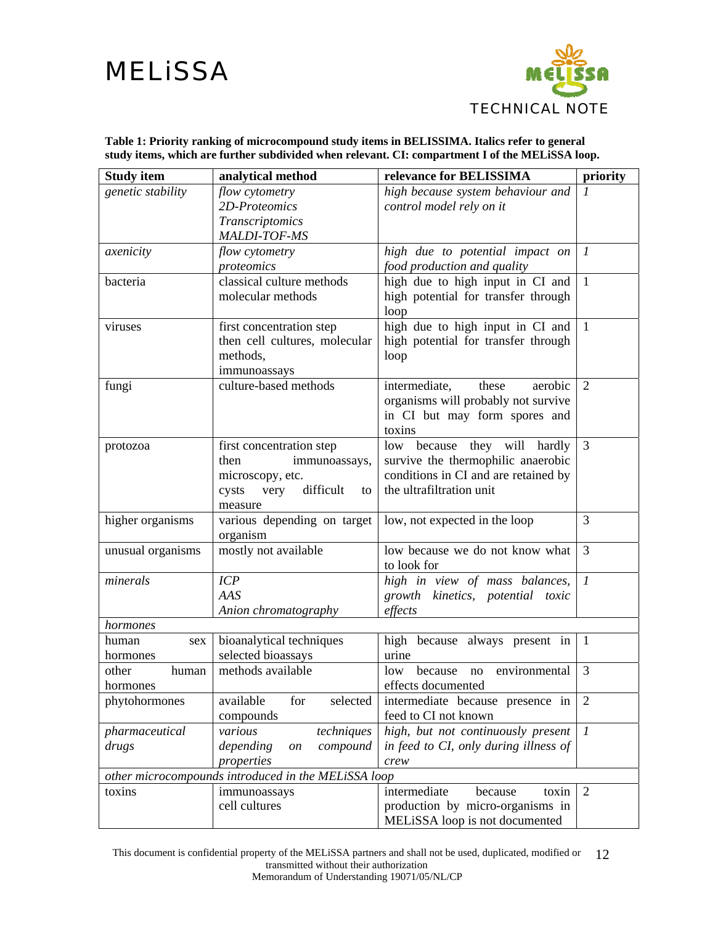

| Table 1: Priority ranking of microcompound study items in BELISSIMA. Italics refer to general   |
|-------------------------------------------------------------------------------------------------|
| study items, which are further subdivided when relevant. CI: compartment I of the MELiSSA loop. |

<span id="page-11-0"></span>

| <b>Study item</b> | analytical method                                   | relevance for BELISSIMA               | priority                  |
|-------------------|-----------------------------------------------------|---------------------------------------|---------------------------|
| genetic stability | flow cytometry                                      | high because system behaviour and     |                           |
|                   | 2D-Proteomics                                       | control model rely on it              |                           |
|                   | Transcriptomics                                     |                                       |                           |
|                   | <b>MALDI-TOF-MS</b>                                 |                                       |                           |
| axenicity         | flow cytometry                                      | high due to potential impact on       | $\boldsymbol{\mathit{1}}$ |
|                   | proteomics                                          | food production and quality           |                           |
| bacteria          | classical culture methods                           | high due to high input in CI and      | $\mathbf{1}$              |
|                   | molecular methods                                   | high potential for transfer through   |                           |
|                   |                                                     | loop                                  |                           |
| viruses           | first concentration step                            | high due to high input in CI and      | $\mathbf{1}$              |
|                   | then cell cultures, molecular                       | high potential for transfer through   |                           |
|                   | methods,                                            | loop                                  |                           |
|                   | immunoassays                                        |                                       |                           |
| fungi             | culture-based methods                               | intermediate,<br>these<br>aerobic     | $\overline{2}$            |
|                   |                                                     | organisms will probably not survive   |                           |
|                   |                                                     | in CI but may form spores and         |                           |
|                   |                                                     | toxins                                |                           |
| protozoa          | first concentration step                            | they will<br>low because<br>hardly    | 3                         |
|                   | immunoassays,<br>then                               | survive the thermophilic anaerobic    |                           |
|                   | microscopy, etc.                                    | conditions in CI and are retained by  |                           |
|                   | difficult<br>cysts<br>very<br>to                    | the ultrafiltration unit              |                           |
|                   | measure                                             |                                       |                           |
| higher organisms  | various depending on target                         | low, not expected in the loop         | 3                         |
|                   | organism                                            |                                       |                           |
| unusual organisms | mostly not available                                | low because we do not know what       | $\overline{3}$            |
|                   |                                                     | to look for                           |                           |
| minerals          | ICP                                                 | high in view of mass balances,        | $\boldsymbol{l}$          |
|                   | AAS                                                 | growth kinetics, potential toxic      |                           |
|                   | Anion chromatography                                | effects                               |                           |
| hormones          |                                                     |                                       |                           |
| human<br>sex      | bioanalytical techniques                            | high because always present in        | $\mathbf{1}$              |
| hormones          | selected bioassays                                  | urine                                 |                           |
| other<br>human    | methods available                                   | because<br>environmental<br>low<br>no | 3                         |
| hormones          |                                                     | effects documented                    |                           |
| phytohormones     | available<br>for<br>selected                        | intermediate because presence in      | 2                         |
|                   | compounds                                           | feed to CI not known                  |                           |
| pharmaceutical    | techniques<br>various                               | high, but not continuously present    | $\mathcal{I}$             |
| drugs             | depending<br>compound<br>on                         | in feed to CI, only during illness of |                           |
|                   | properties                                          | crew                                  |                           |
|                   | other microcompounds introduced in the MELiSSA loop |                                       |                           |
| toxins            | immunoassays                                        | intermediate<br>because<br>toxin      | 2                         |
|                   | cell cultures                                       | production by micro-organisms in      |                           |
|                   |                                                     | MELiSSA loop is not documented        |                           |

This document is confidential property of the MELiSSA partners and shall not be used, duplicated, modified or 12 transmitted without their authorization Memorandum of Understanding 19071/05/NL/CP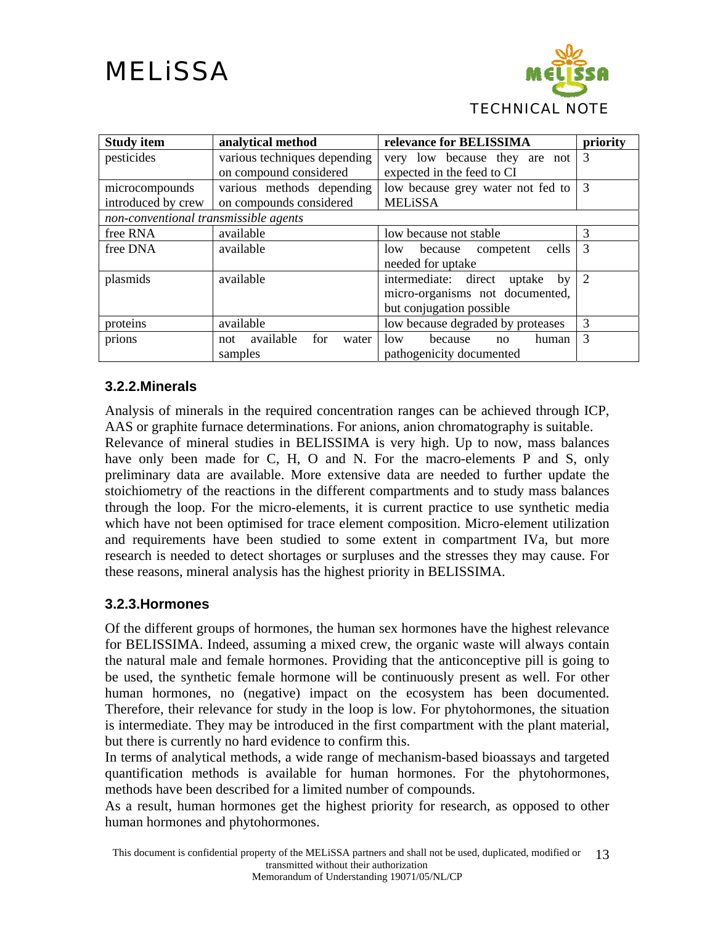

<span id="page-12-0"></span>

| <b>Study item</b>                     | analytical method                              | relevance for BELISSIMA           | priority       |
|---------------------------------------|------------------------------------------------|-----------------------------------|----------------|
| pesticides                            | various techniques depending                   | very low because they are not     | 3              |
|                                       | on compound considered                         | expected in the feed to CI        |                |
| microcompounds                        | various methods depending                      | low because grey water not fed to | 3              |
| introduced by crew                    | on compounds considered                        | <b>MELiSSA</b>                    |                |
| non-conventional transmissible agents |                                                |                                   |                |
| free RNA                              | available                                      | low because not stable            | 3              |
| free DNA                              | available                                      | cells<br>low<br>because competent | 3              |
|                                       |                                                | needed for uptake                 |                |
| plasmids                              | available                                      | intermediate: direct uptake<br>by | $\overline{2}$ |
|                                       |                                                | micro-organisms not documented,   |                |
|                                       |                                                | but conjugation possible          |                |
| proteins                              | available<br>low because degraded by proteases |                                   | 3              |
| prions                                | available<br>for<br>water<br>not               | 10w<br>because<br>human<br>no     | 3              |
|                                       | samples                                        | pathogenicity documented          |                |

#### **3.2.2.Minerals**

Analysis of minerals in the required concentration ranges can be achieved through ICP, AAS or graphite furnace determinations. For anions, anion chromatography is suitable.

Relevance of mineral studies in BELISSIMA is very high. Up to now, mass balances have only been made for C, H, O and N. For the macro-elements P and S, only preliminary data are available. More extensive data are needed to further update the stoichiometry of the reactions in the different compartments and to study mass balances through the loop. For the micro-elements, it is current practice to use synthetic media which have not been optimised for trace element composition. Micro-element utilization and requirements have been studied to some extent in compartment IVa, but more research is needed to detect shortages or surpluses and the stresses they may cause. For these reasons, mineral analysis has the highest priority in BELISSIMA.

#### **3.2.3.Hormones**

Of the different groups of hormones, the human sex hormones have the highest relevance for BELISSIMA. Indeed, assuming a mixed crew, the organic waste will always contain the natural male and female hormones. Providing that the anticonceptive pill is going to be used, the synthetic female hormone will be continuously present as well. For other human hormones, no (negative) impact on the ecosystem has been documented. Therefore, their relevance for study in the loop is low. For phytohormones, the situation is intermediate. They may be introduced in the first compartment with the plant material, but there is currently no hard evidence to confirm this.

In terms of analytical methods, a wide range of mechanism-based bioassays and targeted quantification methods is available for human hormones. For the phytohormones, methods have been described for a limited number of compounds.

As a result, human hormones get the highest priority for research, as opposed to other human hormones and phytohormones.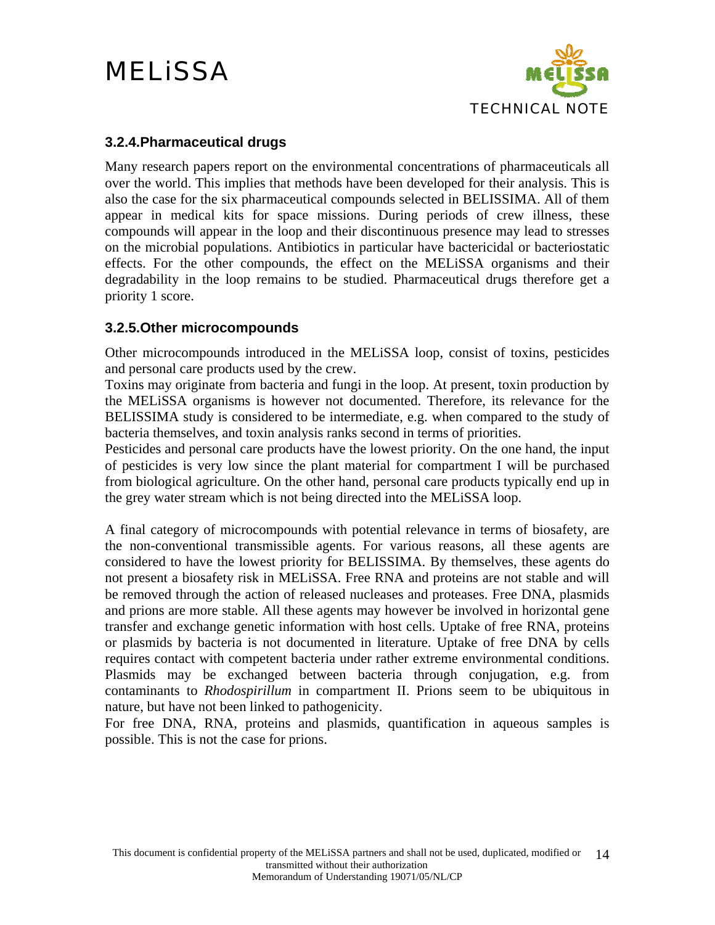

#### <span id="page-13-0"></span>**3.2.4.Pharmaceutical drugs**

Many research papers report on the environmental concentrations of pharmaceuticals all over the world. This implies that methods have been developed for their analysis. This is also the case for the six pharmaceutical compounds selected in BELISSIMA. All of them appear in medical kits for space missions. During periods of crew illness, these compounds will appear in the loop and their discontinuous presence may lead to stresses on the microbial populations. Antibiotics in particular have bactericidal or bacteriostatic effects. For the other compounds, the effect on the MELiSSA organisms and their degradability in the loop remains to be studied. Pharmaceutical drugs therefore get a priority 1 score.

#### **3.2.5.Other microcompounds**

Other microcompounds introduced in the MELiSSA loop, consist of toxins, pesticides and personal care products used by the crew.

Toxins may originate from bacteria and fungi in the loop. At present, toxin production by the MELiSSA organisms is however not documented. Therefore, its relevance for the BELISSIMA study is considered to be intermediate, e.g. when compared to the study of bacteria themselves, and toxin analysis ranks second in terms of priorities.

Pesticides and personal care products have the lowest priority. On the one hand, the input of pesticides is very low since the plant material for compartment I will be purchased from biological agriculture. On the other hand, personal care products typically end up in the grey water stream which is not being directed into the MELiSSA loop.

A final category of microcompounds with potential relevance in terms of biosafety, are the non-conventional transmissible agents. For various reasons, all these agents are considered to have the lowest priority for BELISSIMA. By themselves, these agents do not present a biosafety risk in MELiSSA. Free RNA and proteins are not stable and will be removed through the action of released nucleases and proteases. Free DNA, plasmids and prions are more stable. All these agents may however be involved in horizontal gene transfer and exchange genetic information with host cells. Uptake of free RNA, proteins or plasmids by bacteria is not documented in literature. Uptake of free DNA by cells requires contact with competent bacteria under rather extreme environmental conditions. Plasmids may be exchanged between bacteria through conjugation, e.g. from contaminants to *Rhodospirillum* in compartment II. Prions seem to be ubiquitous in nature, but have not been linked to pathogenicity.

For free DNA, RNA, proteins and plasmids, quantification in aqueous samples is possible. This is not the case for prions.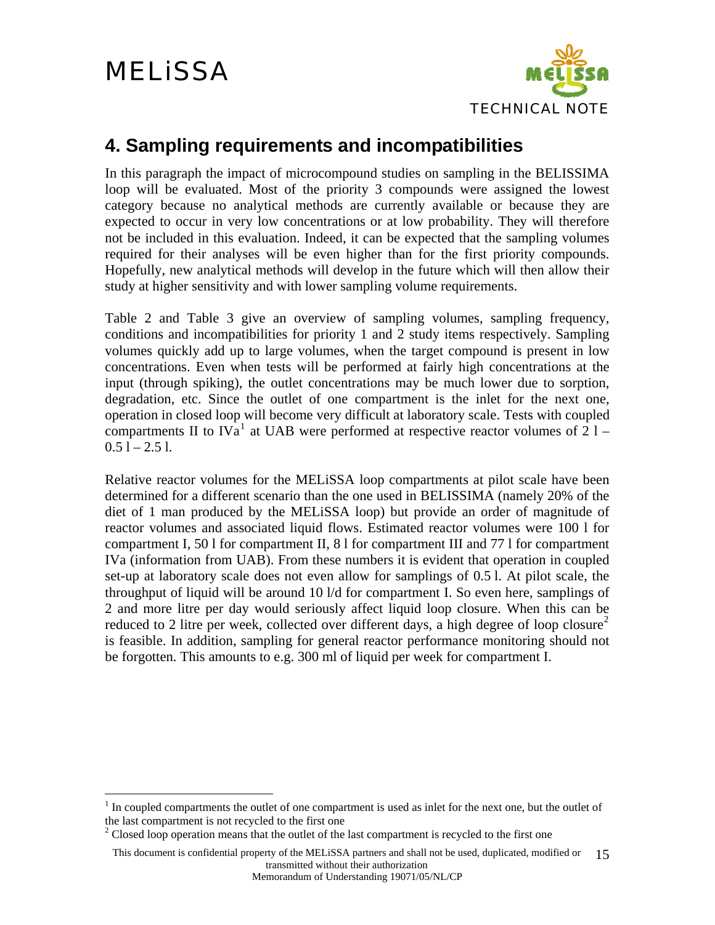$\overline{a}$ 



#### <span id="page-14-0"></span>**4. Sampling requirements and incompatibilities**

In this paragraph the impact of microcompound studies on sampling in the BELISSIMA loop will be evaluated. Most of the priority 3 compounds were assigned the lowest category because no analytical methods are currently available or because they are expected to occur in very low concentrations or at low probability. They will therefore not be included in this evaluation. Indeed, it can be expected that the sampling volumes required for their analyses will be even higher than for the first priority compounds. Hopefully, new analytical methods will develop in the future which will then allow their study at higher sensitivity and with lower sampling volume requirements.

[Table 2](#page-15-0) and [Table 3](#page-16-0) give an overview of sampling volumes, sampling frequency, conditions and incompatibilities for priority 1 and 2 study items respectively. Sampling volumes quickly add up to large volumes, when the target compound is present in low concentrations. Even when tests will be performed at fairly high concentrations at the input (through spiking), the outlet concentrations may be much lower due to sorption, degradation, etc. Since the outlet of one compartment is the inlet for the next one, operation in closed loop will become very difficult at laboratory scale. Tests with coupled compartments II to IVa<sup>[1](#page-14-1)</sup> at UAB were performed at respective reactor volumes of  $21 0.51 - 2.51$ .

Relative reactor volumes for the MELiSSA loop compartments at pilot scale have been determined for a different scenario than the one used in BELISSIMA (namely 20% of the diet of 1 man produced by the MELiSSA loop) but provide an order of magnitude of reactor volumes and associated liquid flows. Estimated reactor volumes were 100 l for compartment I, 50 l for compartment II, 8 l for compartment III and 77 l for compartment IVa (information from UAB). From these numbers it is evident that operation in coupled set-up at laboratory scale does not even allow for samplings of 0.5 l. At pilot scale, the throughput of liquid will be around 10 l/d for compartment I. So even here, samplings of 2 and more litre per day would seriously affect liquid loop closure. When this can be reduced to [2](#page-14-2) litre per week, collected over different days, a high degree of loop closure<sup>2</sup> is feasible. In addition, sampling for general reactor performance monitoring should not be forgotten. This amounts to e.g. 300 ml of liquid per week for compartment I.

Memorandum of Understanding 19071/05/NL/CP

<span id="page-14-1"></span><sup>&</sup>lt;sup>1</sup> In coupled compartments the outlet of one compartment is used as inlet for the next one, but the outlet of the last compartment is not recycled to the first one

<span id="page-14-2"></span> $2^2$  Closed loop operation means that the outlet of the last compartment is recycled to the first one

This document is confidential property of the MELiSSA partners and shall not be used, duplicated, modified or transmitted without their authorization 15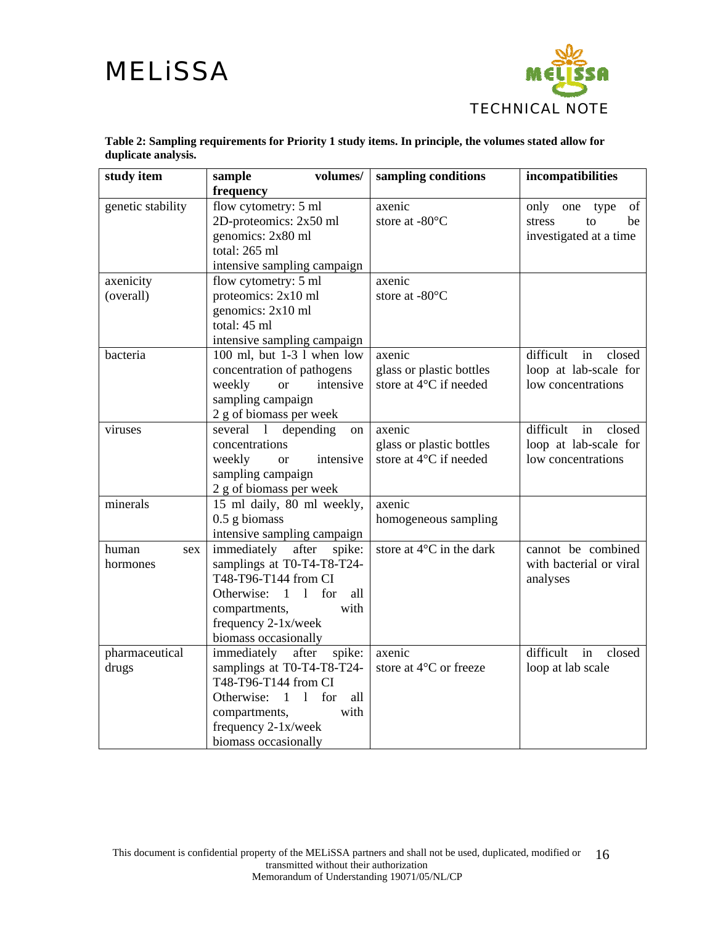

<span id="page-15-0"></span>

| study item        | volumes/<br>sample                                          | sampling conditions      | incompatibilities         |
|-------------------|-------------------------------------------------------------|--------------------------|---------------------------|
|                   | frequency                                                   |                          |                           |
| genetic stability | flow cytometry: 5 ml                                        | axenic                   | only<br>of<br>type<br>one |
|                   | 2D-proteomics: 2x50 ml                                      | store at -80°C           | stress<br>be<br>to        |
|                   | genomics: 2x80 ml                                           |                          | investigated at a time    |
|                   | total: 265 ml                                               |                          |                           |
|                   | intensive sampling campaign                                 |                          |                           |
| axenicity         | flow cytometry: 5 ml                                        | axenic                   |                           |
| (overall)         | proteomics: 2x10 ml                                         | store at -80°C           |                           |
|                   | genomics: 2x10 ml                                           |                          |                           |
|                   | total: 45 ml                                                |                          |                           |
|                   | intensive sampling campaign                                 |                          |                           |
| bacteria          | 100 ml, but 1-3 l when low                                  | axenic                   | difficult<br>in<br>closed |
|                   | concentration of pathogens                                  | glass or plastic bottles | loop at lab-scale for     |
|                   | weekly<br>intensive<br><b>or</b>                            | store at 4°C if needed   | low concentrations        |
|                   | sampling campaign                                           |                          |                           |
|                   | 2 g of biomass per week                                     |                          |                           |
| viruses           | depending<br>several 1<br><sub>on</sub>                     | axenic                   | difficult<br>in<br>closed |
|                   | concentrations                                              | glass or plastic bottles | loop at lab-scale for     |
|                   | intensive<br>weekly<br><b>or</b>                            | store at 4°C if needed   | low concentrations        |
|                   | sampling campaign                                           |                          |                           |
|                   | 2 g of biomass per week                                     |                          |                           |
| minerals          | 15 ml daily, 80 ml weekly,                                  | axenic                   |                           |
|                   | $0.5$ g biomass                                             | homogeneous sampling     |                           |
|                   | intensive sampling campaign                                 |                          |                           |
| human<br>sex      | immediately<br>after<br>spike:                              | store at 4°C in the dark | cannot be combined        |
| hormones          | samplings at T0-T4-T8-T24-                                  |                          | with bacterial or viral   |
|                   | T48-T96-T144 from CI                                        |                          | analyses                  |
|                   | for<br>Otherwise:<br>$\overline{1}$<br>$\frac{1}{2}$<br>all |                          |                           |
|                   | compartments,<br>with                                       |                          |                           |
|                   | frequency 2-1x/week                                         |                          |                           |
|                   | biomass occasionally                                        |                          |                           |
| pharmaceutical    | immediately<br>after<br>spike:                              | axenic                   | difficult<br>in<br>closed |
| drugs             | samplings at T0-T4-T8-T24-                                  | store at 4°C or freeze   | loop at lab scale         |
|                   | T48-T96-T144 from CI                                        |                          |                           |
|                   | Otherwise: 1<br>for<br>$\mathbf{1}$<br>all                  |                          |                           |
|                   | with<br>compartments,                                       |                          |                           |
|                   | frequency 2-1x/week                                         |                          |                           |
|                   | biomass occasionally                                        |                          |                           |

**Table 2: Sampling requirements for Priority 1 study items. In principle, the volumes stated allow for duplicate analysis.**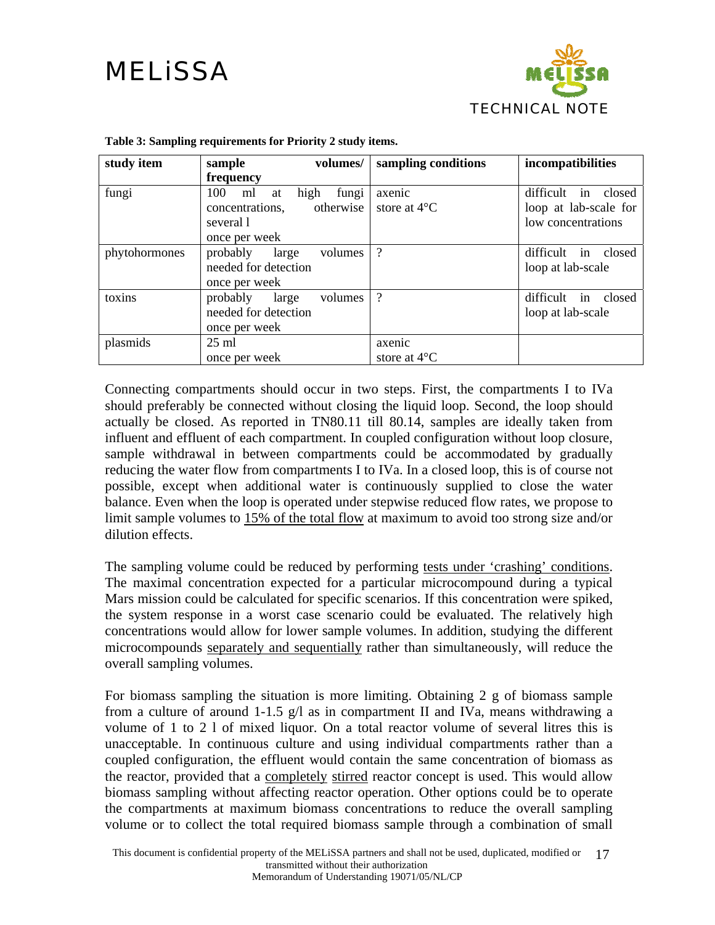

<span id="page-16-0"></span>

| study item    | volumes/<br>sample                                                                             | sampling conditions              | incompatibilities                                                     |
|---------------|------------------------------------------------------------------------------------------------|----------------------------------|-----------------------------------------------------------------------|
|               | frequency                                                                                      |                                  |                                                                       |
| fungi         | fungi<br>100<br>high<br>ml<br>at<br>otherwise<br>concentrations.<br>several 1<br>once per week | axenic<br>store at $4^{\circ}$ C | difficult<br>in closed<br>loop at lab-scale for<br>low concentrations |
| phytohormones | probably<br>volumes<br>large<br>needed for detection<br>once per week                          | $\gamma$                         | difficult in closed<br>loop at lab-scale                              |
| toxins        | probably<br>volumes<br>large<br>needed for detection<br>once per week                          | $\gamma$                         | difficult in closed<br>loop at lab-scale                              |
| plasmids      | $25 \text{ ml}$<br>once per week                                                               | axenic<br>store at $4^{\circ}$ C |                                                                       |

#### **Table 3: Sampling requirements for Priority 2 study items.**

Connecting compartments should occur in two steps. First, the compartments I to IVa should preferably be connected without closing the liquid loop. Second, the loop should actually be closed. As reported in TN80.11 till 80.14, samples are ideally taken from influent and effluent of each compartment. In coupled configuration without loop closure, sample withdrawal in between compartments could be accommodated by gradually reducing the water flow from compartments I to IVa. In a closed loop, this is of course not possible, except when additional water is continuously supplied to close the water balance. Even when the loop is operated under stepwise reduced flow rates, we propose to limit sample volumes to 15% of the total flow at maximum to avoid too strong size and/or dilution effects.

The sampling volume could be reduced by performing tests under 'crashing' conditions. The maximal concentration expected for a particular microcompound during a typical Mars mission could be calculated for specific scenarios. If this concentration were spiked, the system response in a worst case scenario could be evaluated. The relatively high concentrations would allow for lower sample volumes. In addition, studying the different microcompounds separately and sequentially rather than simultaneously, will reduce the overall sampling volumes.

For biomass sampling the situation is more limiting. Obtaining 2 g of biomass sample from a culture of around 1-1.5 g/l as in compartment II and IVa, means withdrawing a volume of 1 to 2 l of mixed liquor. On a total reactor volume of several litres this is unacceptable. In continuous culture and using individual compartments rather than a coupled configuration, the effluent would contain the same concentration of biomass as the reactor, provided that a completely stirred reactor concept is used. This would allow biomass sampling without affecting reactor operation. Other options could be to operate the compartments at maximum biomass concentrations to reduce the overall sampling volume or to collect the total required biomass sample through a combination of small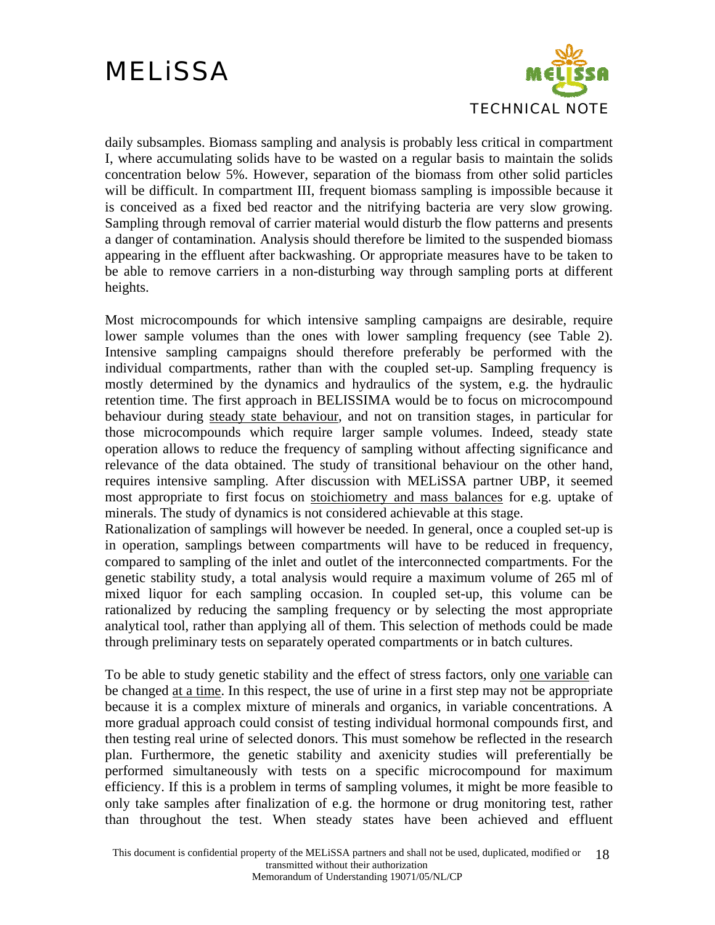

daily subsamples. Biomass sampling and analysis is probably less critical in compartment I, where accumulating solids have to be wasted on a regular basis to maintain the solids concentration below 5%. However, separation of the biomass from other solid particles will be difficult. In compartment III, frequent biomass sampling is impossible because it is conceived as a fixed bed reactor and the nitrifying bacteria are very slow growing. Sampling through removal of carrier material would disturb the flow patterns and presents a danger of contamination. Analysis should therefore be limited to the suspended biomass appearing in the effluent after backwashing. Or appropriate measures have to be taken to be able to remove carriers in a non-disturbing way through sampling ports at different heights.

Most microcompounds for which intensive sampling campaigns are desirable, require lower sample volumes than the ones with lower sampling frequency (see [Table 2\)](#page-15-0). Intensive sampling campaigns should therefore preferably be performed with the individual compartments, rather than with the coupled set-up. Sampling frequency is mostly determined by the dynamics and hydraulics of the system, e.g. the hydraulic retention time. The first approach in BELISSIMA would be to focus on microcompound behaviour during steady state behaviour, and not on transition stages, in particular for those microcompounds which require larger sample volumes. Indeed, steady state operation allows to reduce the frequency of sampling without affecting significance and relevance of the data obtained. The study of transitional behaviour on the other hand, requires intensive sampling. After discussion with MELiSSA partner UBP, it seemed most appropriate to first focus on stoichiometry and mass balances for e.g. uptake of minerals. The study of dynamics is not considered achievable at this stage.

Rationalization of samplings will however be needed. In general, once a coupled set-up is in operation, samplings between compartments will have to be reduced in frequency, compared to sampling of the inlet and outlet of the interconnected compartments. For the genetic stability study, a total analysis would require a maximum volume of 265 ml of mixed liquor for each sampling occasion. In coupled set-up, this volume can be rationalized by reducing the sampling frequency or by selecting the most appropriate analytical tool, rather than applying all of them. This selection of methods could be made through preliminary tests on separately operated compartments or in batch cultures.

To be able to study genetic stability and the effect of stress factors, only one variable can be changed at a time. In this respect, the use of urine in a first step may not be appropriate because it is a complex mixture of minerals and organics, in variable concentrations. A more gradual approach could consist of testing individual hormonal compounds first, and then testing real urine of selected donors. This must somehow be reflected in the research plan. Furthermore, the genetic stability and axenicity studies will preferentially be performed simultaneously with tests on a specific microcompound for maximum efficiency. If this is a problem in terms of sampling volumes, it might be more feasible to only take samples after finalization of e.g. the hormone or drug monitoring test, rather than throughout the test. When steady states have been achieved and effluent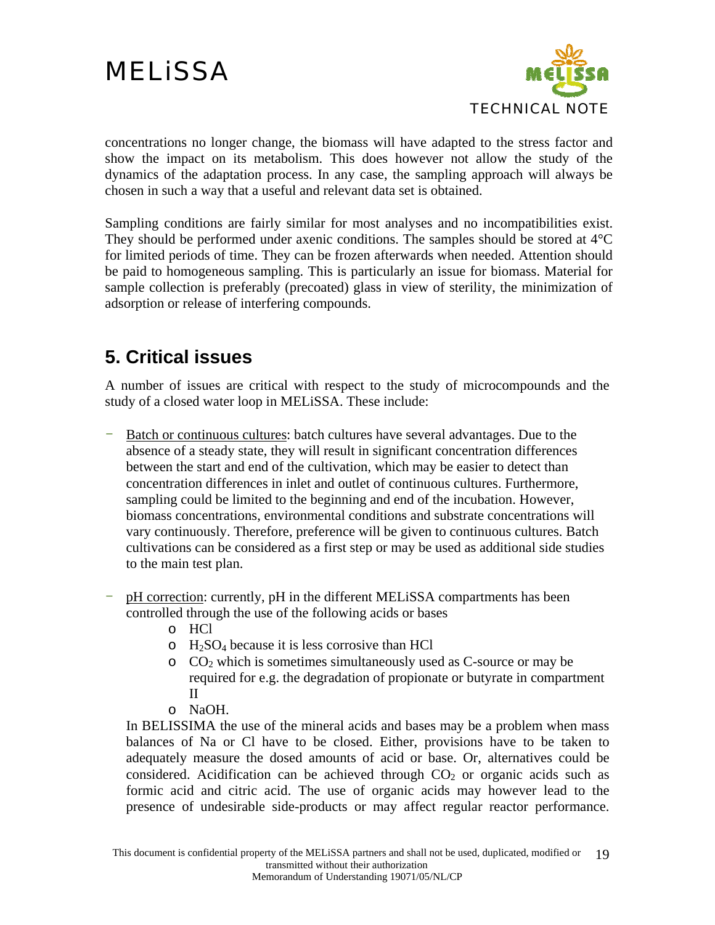

<span id="page-18-0"></span>concentrations no longer change, the biomass will have adapted to the stress factor and show the impact on its metabolism. This does however not allow the study of the dynamics of the adaptation process. In any case, the sampling approach will always be chosen in such a way that a useful and relevant data set is obtained.

Sampling conditions are fairly similar for most analyses and no incompatibilities exist. They should be performed under axenic conditions. The samples should be stored at 4°C for limited periods of time. They can be frozen afterwards when needed. Attention should be paid to homogeneous sampling. This is particularly an issue for biomass. Material for sample collection is preferably (precoated) glass in view of sterility, the minimization of adsorption or release of interfering compounds.

#### **5. Critical issues**

A number of issues are critical with respect to the study of microcompounds and the study of a closed water loop in MELiSSA. These include:

- Batch or continuous cultures: batch cultures have several advantages. Due to the absence of a steady state, they will result in significant concentration differences between the start and end of the cultivation, which may be easier to detect than concentration differences in inlet and outlet of continuous cultures. Furthermore, sampling could be limited to the beginning and end of the incubation. However, biomass concentrations, environmental conditions and substrate concentrations will vary continuously. Therefore, preference will be given to continuous cultures. Batch cultivations can be considered as a first step or may be used as additional side studies to the main test plan.
- pH correction: currently, pH in the different MELiSSA compartments has been controlled through the use of the following acids or bases
	- o HCl
	- $\circ$  H<sub>2</sub>SO<sub>4</sub> because it is less corrosive than HCl
	- $\circ$  CO<sub>2</sub> which is sometimes simultaneously used as C-source or may be required for e.g. the degradation of propionate or butyrate in compartment II
	- o NaOH.

In BELISSIMA the use of the mineral acids and bases may be a problem when mass balances of Na or Cl have to be closed. Either, provisions have to be taken to adequately measure the dosed amounts of acid or base. Or, alternatives could be considered. Acidification can be achieved through  $CO<sub>2</sub>$  or organic acids such as formic acid and citric acid. The use of organic acids may however lead to the presence of undesirable side-products or may affect regular reactor performance.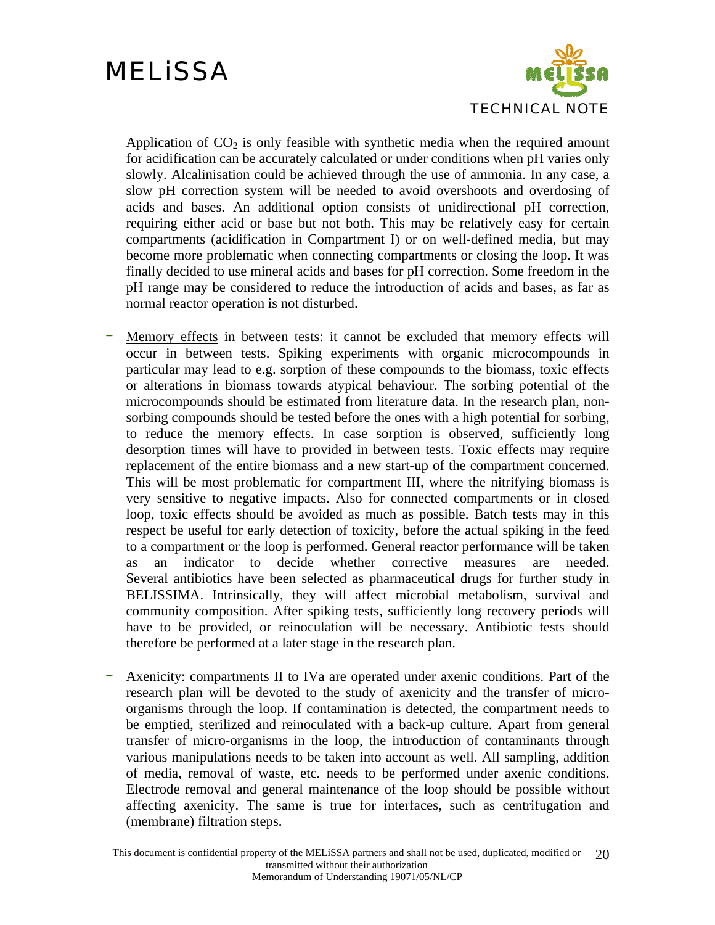

Application of  $CO<sub>2</sub>$  is only feasible with synthetic media when the required amount for acidification can be accurately calculated or under conditions when pH varies only slowly. Alcalinisation could be achieved through the use of ammonia. In any case, a slow pH correction system will be needed to avoid overshoots and overdosing of acids and bases. An additional option consists of unidirectional pH correction, requiring either acid or base but not both. This may be relatively easy for certain compartments (acidification in Compartment I) or on well-defined media, but may become more problematic when connecting compartments or closing the loop. It was finally decided to use mineral acids and bases for pH correction. Some freedom in the pH range may be considered to reduce the introduction of acids and bases, as far as normal reactor operation is not disturbed.

- Memory effects in between tests: it cannot be excluded that memory effects will occur in between tests. Spiking experiments with organic microcompounds in particular may lead to e.g. sorption of these compounds to the biomass, toxic effects or alterations in biomass towards atypical behaviour. The sorbing potential of the microcompounds should be estimated from literature data. In the research plan, nonsorbing compounds should be tested before the ones with a high potential for sorbing, to reduce the memory effects. In case sorption is observed, sufficiently long desorption times will have to provided in between tests. Toxic effects may require replacement of the entire biomass and a new start-up of the compartment concerned. This will be most problematic for compartment III, where the nitrifying biomass is very sensitive to negative impacts. Also for connected compartments or in closed loop, toxic effects should be avoided as much as possible. Batch tests may in this respect be useful for early detection of toxicity, before the actual spiking in the feed to a compartment or the loop is performed. General reactor performance will be taken as an indicator to decide whether corrective measures are needed. Several antibiotics have been selected as pharmaceutical drugs for further study in BELISSIMA. Intrinsically, they will affect microbial metabolism, survival and community composition. After spiking tests, sufficiently long recovery periods will have to be provided, or reinoculation will be necessary. Antibiotic tests should therefore be performed at a later stage in the research plan.
- Axenicity: compartments II to IVa are operated under axenic conditions. Part of the research plan will be devoted to the study of axenicity and the transfer of microorganisms through the loop. If contamination is detected, the compartment needs to be emptied, sterilized and reinoculated with a back-up culture. Apart from general transfer of micro-organisms in the loop, the introduction of contaminants through various manipulations needs to be taken into account as well. All sampling, addition of media, removal of waste, etc. needs to be performed under axenic conditions. Electrode removal and general maintenance of the loop should be possible without affecting axenicity. The same is true for interfaces, such as centrifugation and (membrane) filtration steps.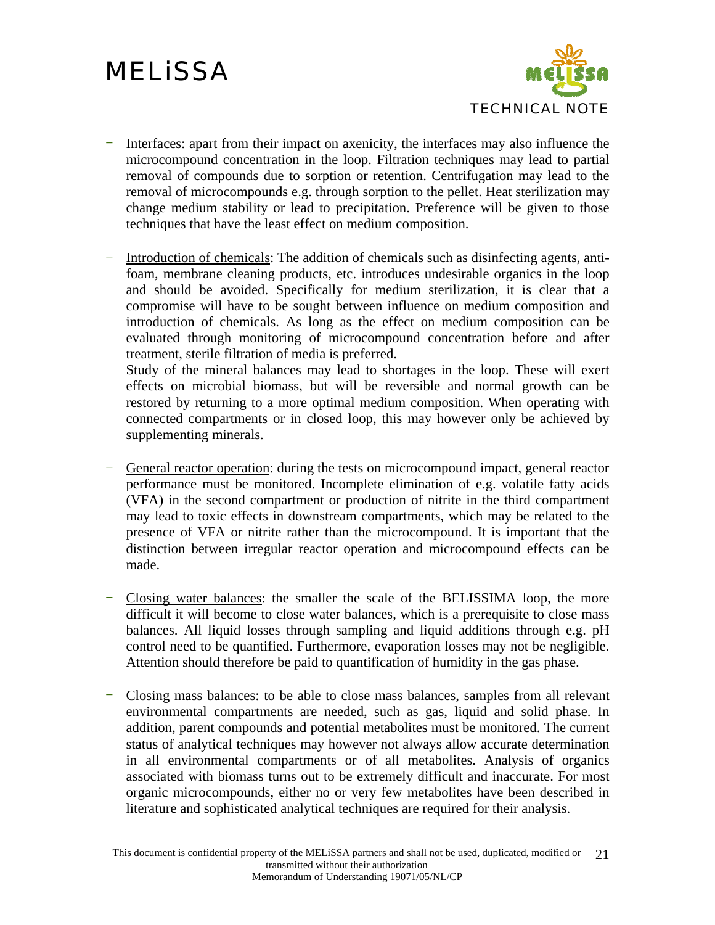

- Interfaces: apart from their impact on axenicity, the interfaces may also influence the microcompound concentration in the loop. Filtration techniques may lead to partial removal of compounds due to sorption or retention. Centrifugation may lead to the removal of microcompounds e.g. through sorption to the pellet. Heat sterilization may change medium stability or lead to precipitation. Preference will be given to those techniques that have the least effect on medium composition.
- Introduction of chemicals: The addition of chemicals such as disinfecting agents, antifoam, membrane cleaning products, etc. introduces undesirable organics in the loop and should be avoided. Specifically for medium sterilization, it is clear that a compromise will have to be sought between influence on medium composition and introduction of chemicals. As long as the effect on medium composition can be evaluated through monitoring of microcompound concentration before and after treatment, sterile filtration of media is preferred.

Study of the mineral balances may lead to shortages in the loop. These will exert effects on microbial biomass, but will be reversible and normal growth can be restored by returning to a more optimal medium composition. When operating with connected compartments or in closed loop, this may however only be achieved by supplementing minerals.

- General reactor operation: during the tests on microcompound impact, general reactor performance must be monitored. Incomplete elimination of e.g. volatile fatty acids (VFA) in the second compartment or production of nitrite in the third compartment may lead to toxic effects in downstream compartments, which may be related to the presence of VFA or nitrite rather than the microcompound. It is important that the distinction between irregular reactor operation and microcompound effects can be made.
- Closing water balances: the smaller the scale of the BELISSIMA loop, the more difficult it will become to close water balances, which is a prerequisite to close mass balances. All liquid losses through sampling and liquid additions through e.g. pH control need to be quantified. Furthermore, evaporation losses may not be negligible. Attention should therefore be paid to quantification of humidity in the gas phase.
- Closing mass balances: to be able to close mass balances, samples from all relevant environmental compartments are needed, such as gas, liquid and solid phase. In addition, parent compounds and potential metabolites must be monitored. The current status of analytical techniques may however not always allow accurate determination in all environmental compartments or of all metabolites. Analysis of organics associated with biomass turns out to be extremely difficult and inaccurate. For most organic microcompounds, either no or very few metabolites have been described in literature and sophisticated analytical techniques are required for their analysis.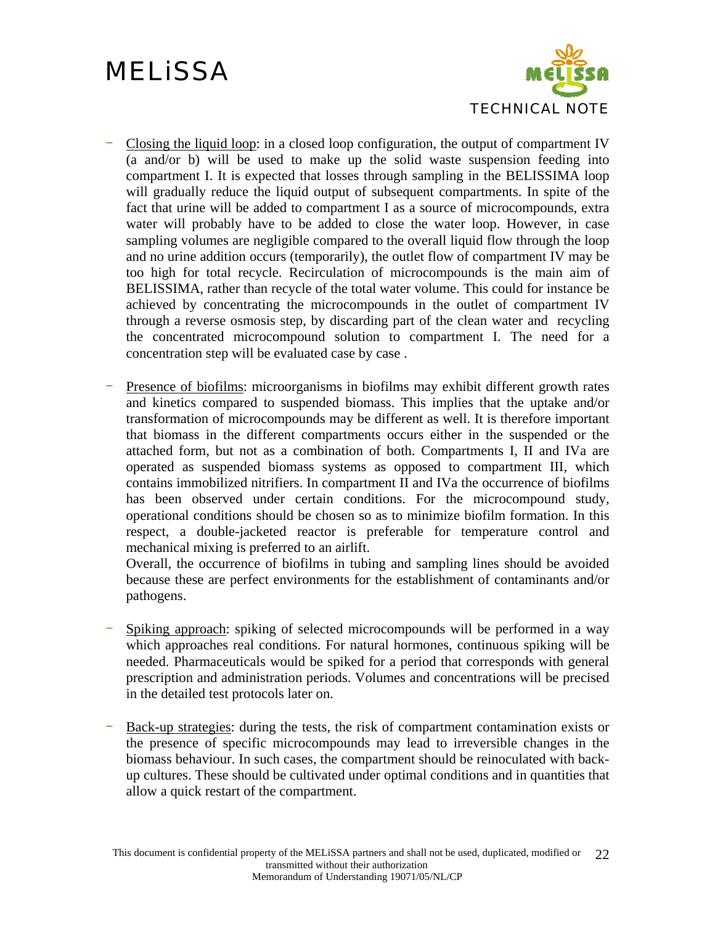

- Closing the liquid loop: in a closed loop configuration, the output of compartment IV (a and/or b) will be used to make up the solid waste suspension feeding into compartment I. It is expected that losses through sampling in the BELISSIMA loop will gradually reduce the liquid output of subsequent compartments. In spite of the fact that urine will be added to compartment I as a source of microcompounds, extra water will probably have to be added to close the water loop. However, in case sampling volumes are negligible compared to the overall liquid flow through the loop and no urine addition occurs (temporarily), the outlet flow of compartment IV may be too high for total recycle. Recirculation of microcompounds is the main aim of BELISSIMA, rather than recycle of the total water volume. This could for instance be achieved by concentrating the microcompounds in the outlet of compartment IV through a reverse osmosis step, by discarding part of the clean water and recycling the concentrated microcompound solution to compartment I. The need for a concentration step will be evaluated case by case .
- Presence of biofilms: microorganisms in biofilms may exhibit different growth rates and kinetics compared to suspended biomass. This implies that the uptake and/or transformation of microcompounds may be different as well. It is therefore important that biomass in the different compartments occurs either in the suspended or the attached form, but not as a combination of both. Compartments I, II and IVa are operated as suspended biomass systems as opposed to compartment III, which contains immobilized nitrifiers. In compartment II and IVa the occurrence of biofilms has been observed under certain conditions. For the microcompound study, operational conditions should be chosen so as to minimize biofilm formation. In this respect, a double-jacketed reactor is preferable for temperature control and mechanical mixing is preferred to an airlift.

Overall, the occurrence of biofilms in tubing and sampling lines should be avoided because these are perfect environments for the establishment of contaminants and/or pathogens.

- Spiking approach: spiking of selected microcompounds will be performed in a way which approaches real conditions. For natural hormones, continuous spiking will be needed. Pharmaceuticals would be spiked for a period that corresponds with general prescription and administration periods. Volumes and concentrations will be precised in the detailed test protocols later on.
- Back-up strategies: during the tests, the risk of compartment contamination exists or the presence of specific microcompounds may lead to irreversible changes in the biomass behaviour. In such cases, the compartment should be reinoculated with backup cultures. These should be cultivated under optimal conditions and in quantities that allow a quick restart of the compartment.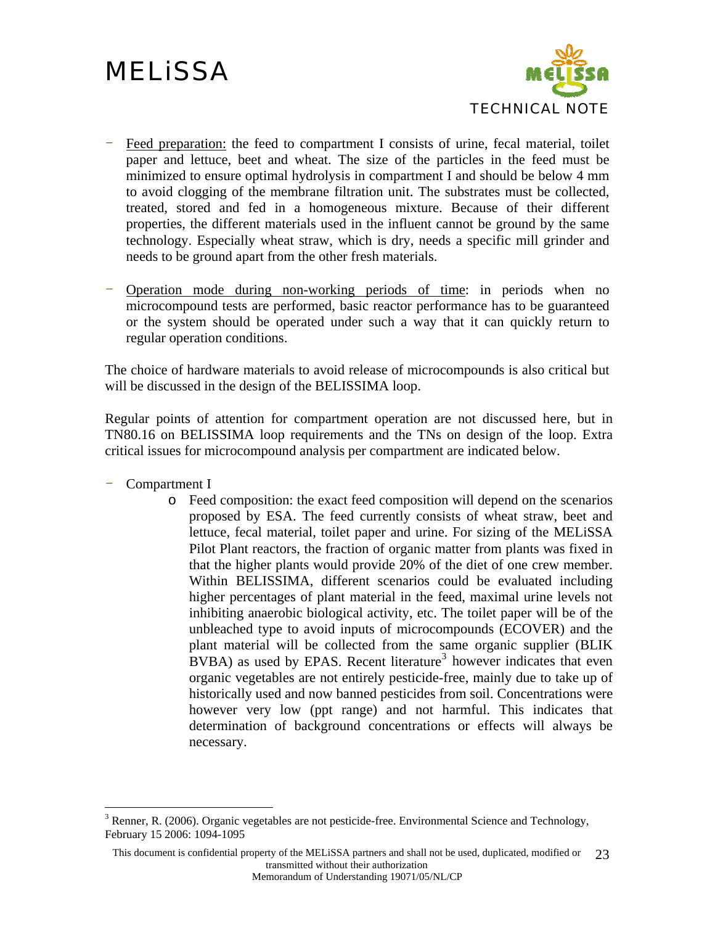

- Feed preparation: the feed to compartment I consists of urine, fecal material, toilet paper and lettuce, beet and wheat. The size of the particles in the feed must be minimized to ensure optimal hydrolysis in compartment I and should be below 4 mm to avoid clogging of the membrane filtration unit. The substrates must be collected, treated, stored and fed in a homogeneous mixture. Because of their different properties, the different materials used in the influent cannot be ground by the same technology. Especially wheat straw, which is dry, needs a specific mill grinder and needs to be ground apart from the other fresh materials.
- Operation mode during non-working periods of time: in periods when no microcompound tests are performed, basic reactor performance has to be guaranteed or the system should be operated under such a way that it can quickly return to regular operation conditions.

The choice of hardware materials to avoid release of microcompounds is also critical but will be discussed in the design of the BELISSIMA loop.

Regular points of attention for compartment operation are not discussed here, but in TN80.16 on BELISSIMA loop requirements and the TNs on design of the loop. Extra critical issues for microcompound analysis per compartment are indicated below.

- Compartment I

 $\overline{a}$ 

o Feed composition: the exact feed composition will depend on the scenarios proposed by ESA. The feed currently consists of wheat straw, beet and lettuce, fecal material, toilet paper and urine. For sizing of the MELiSSA Pilot Plant reactors, the fraction of organic matter from plants was fixed in that the higher plants would provide 20% of the diet of one crew member. Within BELISSIMA, different scenarios could be evaluated including higher percentages of plant material in the feed, maximal urine levels not inhibiting anaerobic biological activity, etc. The toilet paper will be of the unbleached type to avoid inputs of microcompounds (ECOVER) and the plant material will be collected from the same organic supplier (BLIK  $BVBA$ ) as used by EPAS. Recent literature<sup>[3](#page-22-0)</sup> however indicates that even organic vegetables are not entirely pesticide-free, mainly due to take up of historically used and now banned pesticides from soil. Concentrations were however very low (ppt range) and not harmful. This indicates that determination of background concentrations or effects will always be necessary.

<span id="page-22-0"></span> $3$  Renner, R. (2006). Organic vegetables are not pesticide-free. Environmental Science and Technology, February 15 2006: 1094-1095

This document is confidential property of the MELiSSA partners and shall not be used, duplicated, modified or transmitted without their authorization 23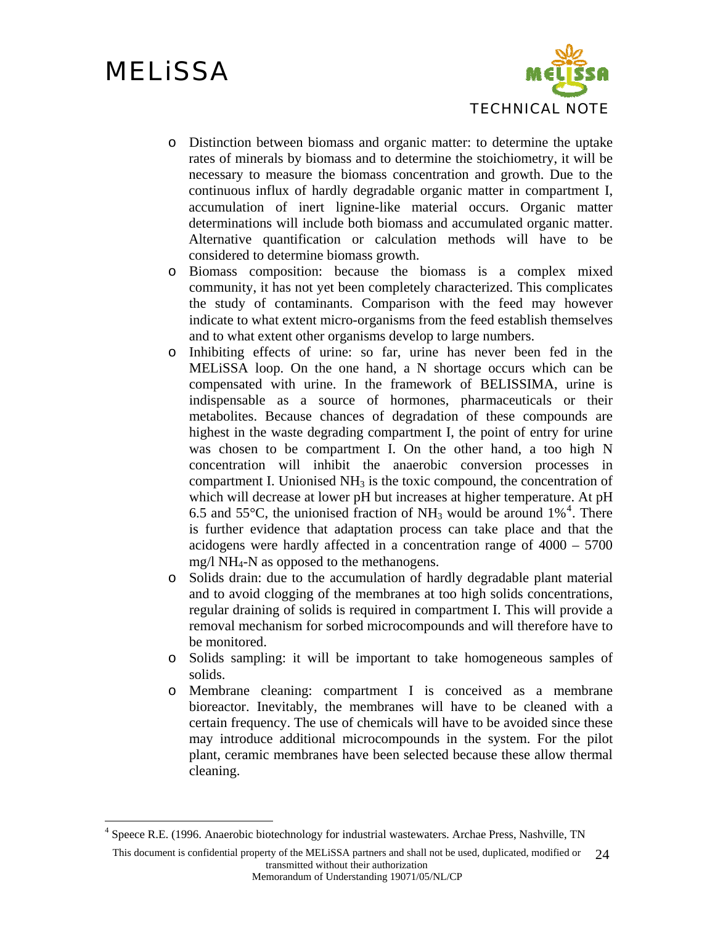$\overline{a}$ 



- o Distinction between biomass and organic matter: to determine the uptake rates of minerals by biomass and to determine the stoichiometry, it will be necessary to measure the biomass concentration and growth. Due to the continuous influx of hardly degradable organic matter in compartment I, accumulation of inert lignine-like material occurs. Organic matter determinations will include both biomass and accumulated organic matter. Alternative quantification or calculation methods will have to be considered to determine biomass growth.
- o Biomass composition: because the biomass is a complex mixed community, it has not yet been completely characterized. This complicates the study of contaminants. Comparison with the feed may however indicate to what extent micro-organisms from the feed establish themselves and to what extent other organisms develop to large numbers.
- o Inhibiting effects of urine: so far, urine has never been fed in the MELiSSA loop. On the one hand, a N shortage occurs which can be compensated with urine. In the framework of BELISSIMA, urine is indispensable as a source of hormones, pharmaceuticals or their metabolites. Because chances of degradation of these compounds are highest in the waste degrading compartment I, the point of entry for urine was chosen to be compartment I. On the other hand, a too high N concentration will inhibit the anaerobic conversion processes in compartment I. Unionised  $NH<sub>3</sub>$  is the toxic compound, the concentration of which will decrease at lower pH but increases at higher temperature. At pH 6.5 and 55 $^{\circ}$ C, the unionised fraction of NH<sub>3</sub> would be around 1%<sup>[4](#page-23-0)</sup>. There is further evidence that adaptation process can take place and that the acidogens were hardly affected in a concentration range of 4000 – 5700 mg/l NH4-N as opposed to the methanogens.
- o Solids drain: due to the accumulation of hardly degradable plant material and to avoid clogging of the membranes at too high solids concentrations, regular draining of solids is required in compartment I. This will provide a removal mechanism for sorbed microcompounds and will therefore have to be monitored.
- o Solids sampling: it will be important to take homogeneous samples of solids.
- o Membrane cleaning: compartment I is conceived as a membrane bioreactor. Inevitably, the membranes will have to be cleaned with a certain frequency. The use of chemicals will have to be avoided since these may introduce additional microcompounds in the system. For the pilot plant, ceramic membranes have been selected because these allow thermal cleaning.

<span id="page-23-0"></span><sup>4</sup> Speece R.E. (1996. Anaerobic biotechnology for industrial wastewaters. Archae Press, Nashville, TN

This document is confidential property of the MELiSSA partners and shall not be used, duplicated, modified or 24 transmitted without their authorization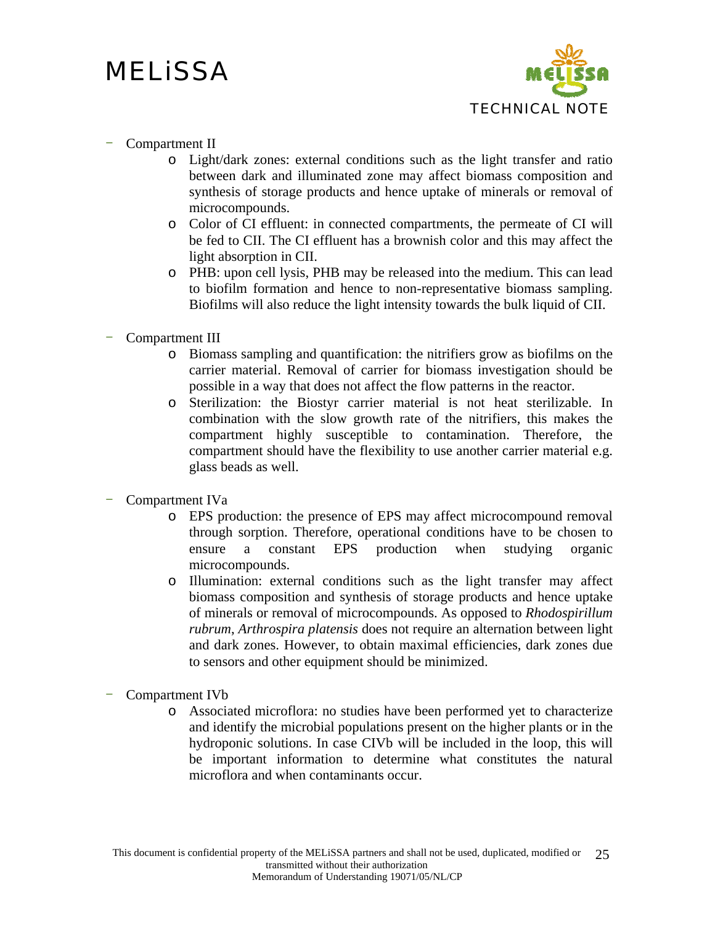

#### Compartment II

- o Light/dark zones: external conditions such as the light transfer and ratio between dark and illuminated zone may affect biomass composition and synthesis of storage products and hence uptake of minerals or removal of microcompounds.
- o Color of CI effluent: in connected compartments, the permeate of CI will be fed to CII. The CI effluent has a brownish color and this may affect the light absorption in CII.
- o PHB: upon cell lysis, PHB may be released into the medium. This can lead to biofilm formation and hence to non-representative biomass sampling. Biofilms will also reduce the light intensity towards the bulk liquid of CII.
- Compartment III
	- o Biomass sampling and quantification: the nitrifiers grow as biofilms on the carrier material. Removal of carrier for biomass investigation should be possible in a way that does not affect the flow patterns in the reactor.
	- o Sterilization: the Biostyr carrier material is not heat sterilizable. In combination with the slow growth rate of the nitrifiers, this makes the compartment highly susceptible to contamination. Therefore, the compartment should have the flexibility to use another carrier material e.g. glass beads as well.
- Compartment IVa
	- o EPS production: the presence of EPS may affect microcompound removal through sorption. Therefore, operational conditions have to be chosen to ensure a constant EPS production when studying organic microcompounds.
	- o Illumination: external conditions such as the light transfer may affect biomass composition and synthesis of storage products and hence uptake of minerals or removal of microcompounds. As opposed to *Rhodospirillum rubrum*, *Arthrospira platensis* does not require an alternation between light and dark zones. However, to obtain maximal efficiencies, dark zones due to sensors and other equipment should be minimized.
- Compartment IVb
	- o Associated microflora: no studies have been performed yet to characterize and identify the microbial populations present on the higher plants or in the hydroponic solutions. In case CIVb will be included in the loop, this will be important information to determine what constitutes the natural microflora and when contaminants occur.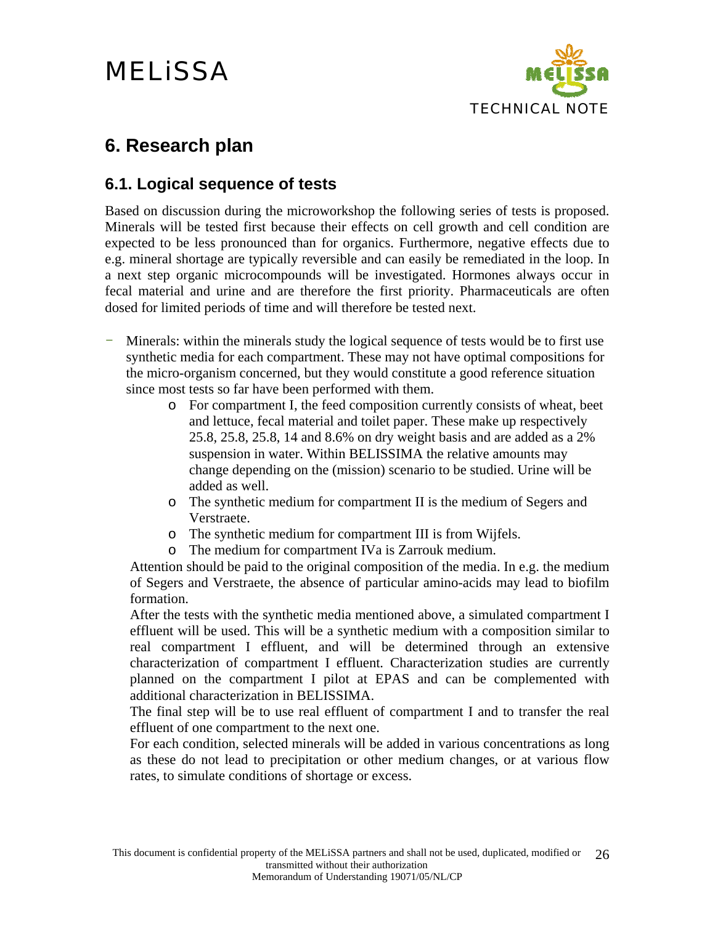

#### <span id="page-25-0"></span>**6. Research plan**

#### **6.1. Logical sequence of tests**

Based on discussion during the microworkshop the following series of tests is proposed. Minerals will be tested first because their effects on cell growth and cell condition are expected to be less pronounced than for organics. Furthermore, negative effects due to e.g. mineral shortage are typically reversible and can easily be remediated in the loop. In a next step organic microcompounds will be investigated. Hormones always occur in fecal material and urine and are therefore the first priority. Pharmaceuticals are often dosed for limited periods of time and will therefore be tested next.

- Minerals: within the minerals study the logical sequence of tests would be to first use synthetic media for each compartment. These may not have optimal compositions for the micro-organism concerned, but they would constitute a good reference situation since most tests so far have been performed with them.
	- o For compartment I, the feed composition currently consists of wheat, beet and lettuce, fecal material and toilet paper. These make up respectively 25.8, 25.8, 25.8, 14 and 8.6% on dry weight basis and are added as a 2% suspension in water. Within BELISSIMA the relative amounts may change depending on the (mission) scenario to be studied. Urine will be added as well.
	- o The synthetic medium for compartment II is the medium of Segers and Verstraete.
	- o The synthetic medium for compartment III is from Wijfels.
	- o The medium for compartment IVa is Zarrouk medium.

Attention should be paid to the original composition of the media. In e.g. the medium of Segers and Verstraete, the absence of particular amino-acids may lead to biofilm formation.

After the tests with the synthetic media mentioned above, a simulated compartment I effluent will be used. This will be a synthetic medium with a composition similar to real compartment I effluent, and will be determined through an extensive characterization of compartment I effluent. Characterization studies are currently planned on the compartment I pilot at EPAS and can be complemented with additional characterization in BELISSIMA.

The final step will be to use real effluent of compartment I and to transfer the real effluent of one compartment to the next one.

For each condition, selected minerals will be added in various concentrations as long as these do not lead to precipitation or other medium changes, or at various flow rates, to simulate conditions of shortage or excess.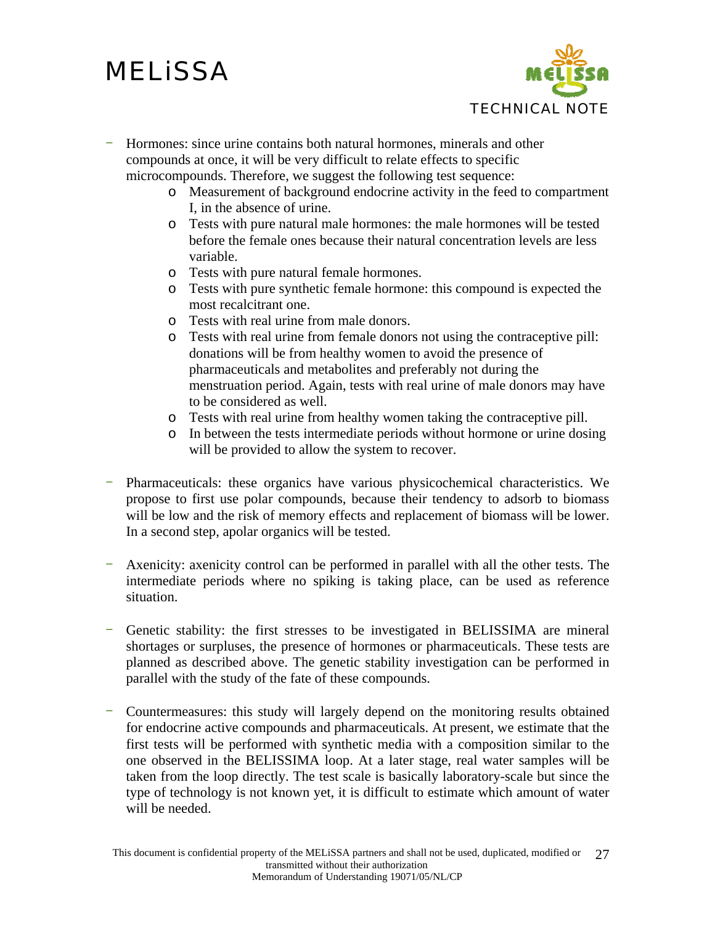

- Hormones: since urine contains both natural hormones, minerals and other compounds at once, it will be very difficult to relate effects to specific microcompounds. Therefore, we suggest the following test sequence:
	- o Measurement of background endocrine activity in the feed to compartment I, in the absence of urine.
	- o Tests with pure natural male hormones: the male hormones will be tested before the female ones because their natural concentration levels are less variable.
	- o Tests with pure natural female hormones.
	- o Tests with pure synthetic female hormone: this compound is expected the most recalcitrant one.
	- o Tests with real urine from male donors.
	- o Tests with real urine from female donors not using the contraceptive pill: donations will be from healthy women to avoid the presence of pharmaceuticals and metabolites and preferably not during the menstruation period. Again, tests with real urine of male donors may have to be considered as well.
	- o Tests with real urine from healthy women taking the contraceptive pill.
	- o In between the tests intermediate periods without hormone or urine dosing will be provided to allow the system to recover.
- Pharmaceuticals: these organics have various physicochemical characteristics. We propose to first use polar compounds, because their tendency to adsorb to biomass will be low and the risk of memory effects and replacement of biomass will be lower. In a second step, apolar organics will be tested.
- Axenicity: axenicity control can be performed in parallel with all the other tests. The intermediate periods where no spiking is taking place, can be used as reference situation.
- Genetic stability: the first stresses to be investigated in BELISSIMA are mineral shortages or surpluses, the presence of hormones or pharmaceuticals. These tests are planned as described above. The genetic stability investigation can be performed in parallel with the study of the fate of these compounds.
- Countermeasures: this study will largely depend on the monitoring results obtained for endocrine active compounds and pharmaceuticals. At present, we estimate that the first tests will be performed with synthetic media with a composition similar to the one observed in the BELISSIMA loop. At a later stage, real water samples will be taken from the loop directly. The test scale is basically laboratory-scale but since the type of technology is not known yet, it is difficult to estimate which amount of water will be needed.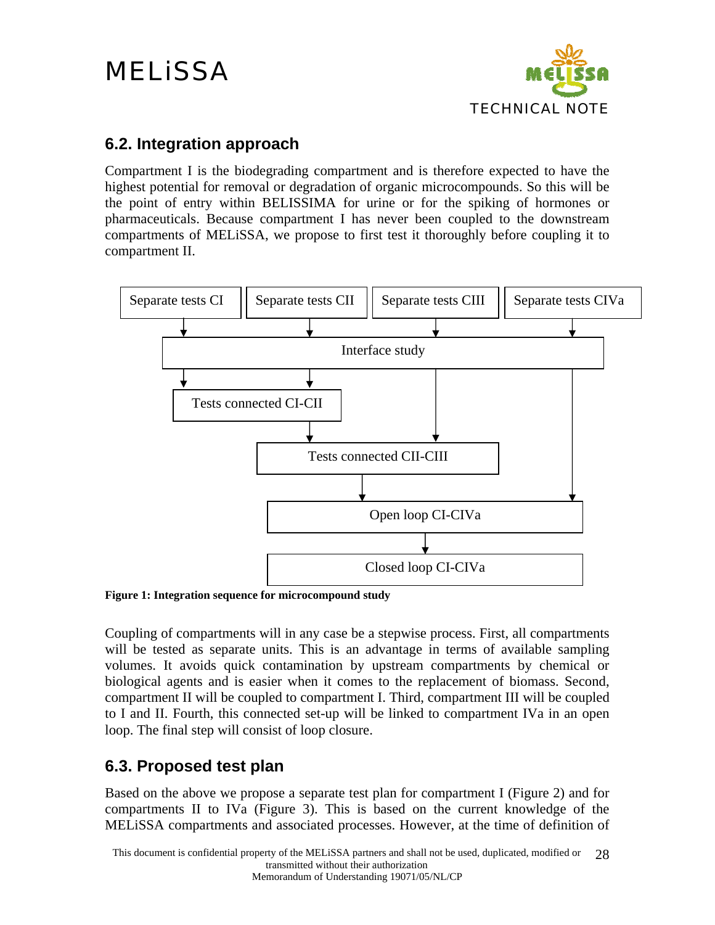

#### <span id="page-27-0"></span>**6.2. Integration approach**

Compartment I is the biodegrading compartment and is therefore expected to have the highest potential for removal or degradation of organic microcompounds. So this will be the point of entry within BELISSIMA for urine or for the spiking of hormones or pharmaceuticals. Because compartment I has never been coupled to the downstream compartments of MELiSSA, we propose to first test it thoroughly before coupling it to compartment II.



**Figure 1: Integration sequence for microcompound study** 

Coupling of compartments will in any case be a stepwise process. First, all compartments will be tested as separate units. This is an advantage in terms of available sampling volumes. It avoids quick contamination by upstream compartments by chemical or biological agents and is easier when it comes to the replacement of biomass. Second, compartment II will be coupled to compartment I. Third, compartment III will be coupled to I and II. Fourth, this connected set-up will be linked to compartment IVa in an open loop. The final step will consist of loop closure.

#### **6.3. Proposed test plan**

Based on the above we propose a separate test plan for compartment I [\(Figure 2\)](#page-29-0) and for compartments II to IVa ([Figure 3](#page-31-0)). This is based on the current knowledge of the MELiSSA compartments and associated processes. However, at the time of definition of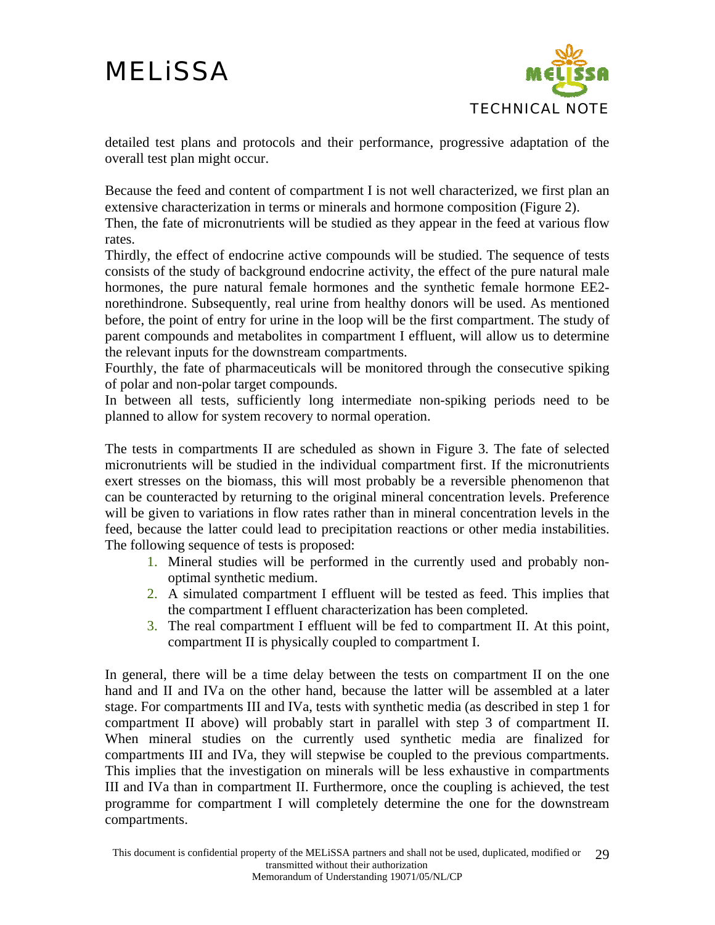

detailed test plans and protocols and their performance, progressive adaptation of the overall test plan might occur.

Because the feed and content of compartment I is not well characterized, we first plan an extensive characterization in terms or minerals and hormone composition ([Figure 2\)](#page-29-0).

Then, the fate of micronutrients will be studied as they appear in the feed at various flow rates.

Thirdly, the effect of endocrine active compounds will be studied. The sequence of tests consists of the study of background endocrine activity, the effect of the pure natural male hormones, the pure natural female hormones and the synthetic female hormone EE2 norethindrone. Subsequently, real urine from healthy donors will be used. As mentioned before, the point of entry for urine in the loop will be the first compartment. The study of parent compounds and metabolites in compartment I effluent, will allow us to determine the relevant inputs for the downstream compartments.

Fourthly, the fate of pharmaceuticals will be monitored through the consecutive spiking of polar and non-polar target compounds.

In between all tests, sufficiently long intermediate non-spiking periods need to be planned to allow for system recovery to normal operation.

The tests in compartments II are scheduled as shown in [Figure 3.](#page-31-0) The fate of selected micronutrients will be studied in the individual compartment first. If the micronutrients exert stresses on the biomass, this will most probably be a reversible phenomenon that can be counteracted by returning to the original mineral concentration levels. Preference will be given to variations in flow rates rather than in mineral concentration levels in the feed, because the latter could lead to precipitation reactions or other media instabilities. The following sequence of tests is proposed:

- 1. Mineral studies will be performed in the currently used and probably nonoptimal synthetic medium.
- 2. A simulated compartment I effluent will be tested as feed. This implies that the compartment I effluent characterization has been completed.
- 3. The real compartment I effluent will be fed to compartment II. At this point, compartment II is physically coupled to compartment I.

In general, there will be a time delay between the tests on compartment II on the one hand and II and IVa on the other hand, because the latter will be assembled at a later stage. For compartments III and IVa, tests with synthetic media (as described in step 1 for compartment II above) will probably start in parallel with step 3 of compartment II. When mineral studies on the currently used synthetic media are finalized for compartments III and IVa, they will stepwise be coupled to the previous compartments. This implies that the investigation on minerals will be less exhaustive in compartments III and IVa than in compartment II. Furthermore, once the coupling is achieved, the test programme for compartment I will completely determine the one for the downstream compartments.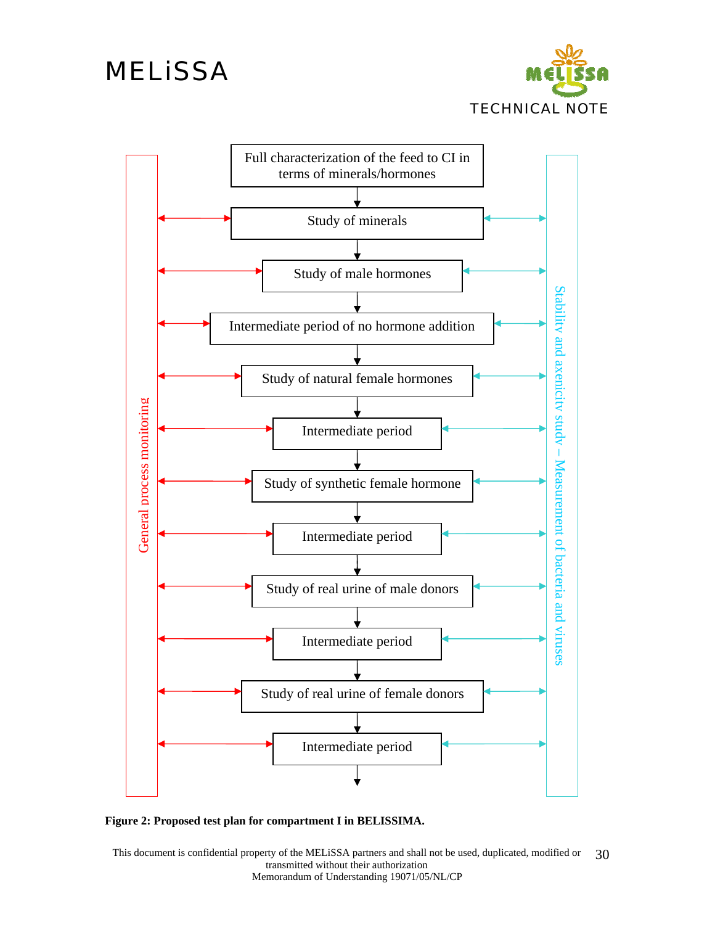



<span id="page-29-0"></span>

This document is confidential property of the MELiSSA partners and shall not be used, duplicated, modified or transmitted without their authorization Memorandum of Understanding 19071/05/NL/CP 30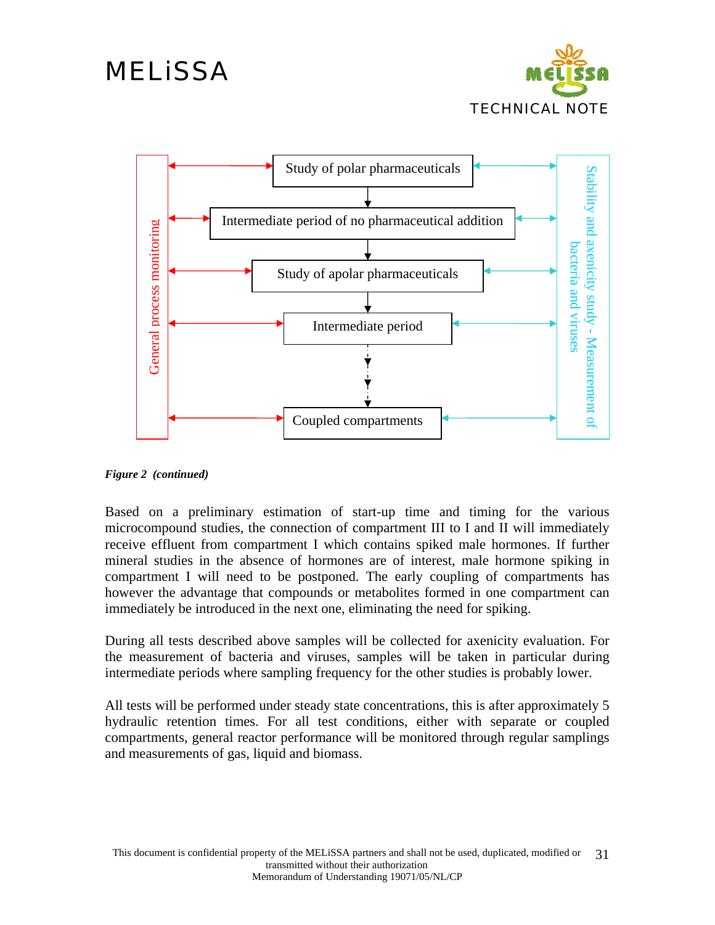



*Figure 2 (continued)* 

Based on a preliminary estimation of start-up time and timing for the various microcompound studies, the connection of compartment III to I and II will immediately receive effluent from compartment I which contains spiked male hormones. If further mineral studies in the absence of hormones are of interest, male hormone spiking in compartment I will need to be postponed. The early coupling of compartments has however the advantage that compounds or metabolites formed in one compartment can immediately be introduced in the next one, eliminating the need for spiking.

During all tests described above samples will be collected for axenicity evaluation. For the measurement of bacteria and viruses, samples will be taken in particular during intermediate periods where sampling frequency for the other studies is probably lower.

All tests will be performed under steady state concentrations, this is after approximately 5 hydraulic retention times. For all test conditions, either with separate or coupled compartments, general reactor performance will be monitored through regular samplings and measurements of gas, liquid and biomass.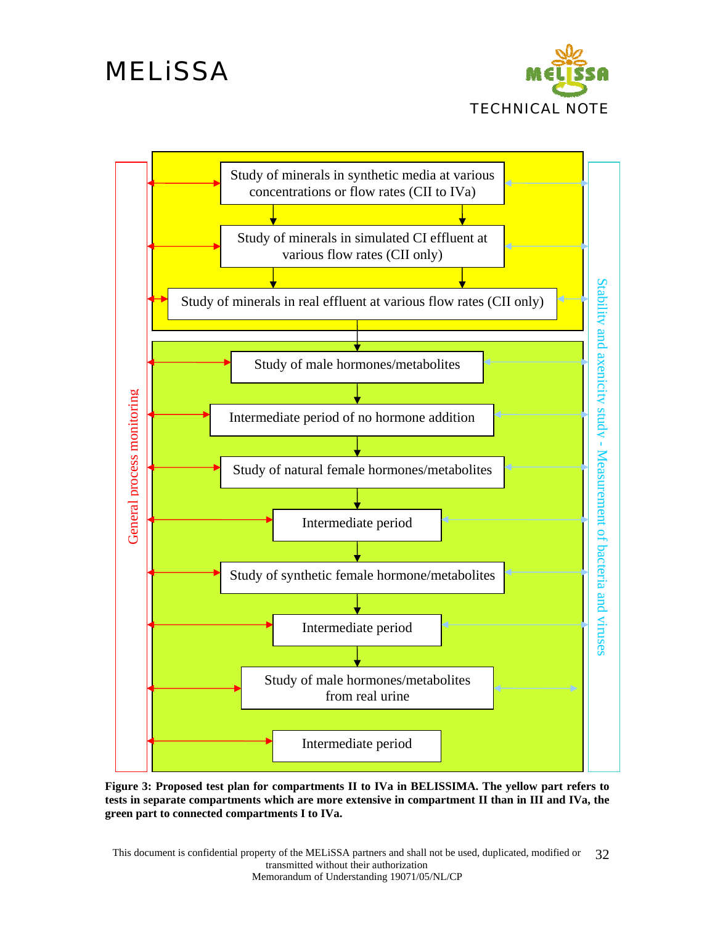



<span id="page-31-0"></span>**Figure 3: Proposed test plan for compartments II to IVa in BELISSIMA. The yellow part refers to tests in separate compartments which are more extensive in compartment II than in III and IVa, the green part to connected compartments I to IVa.**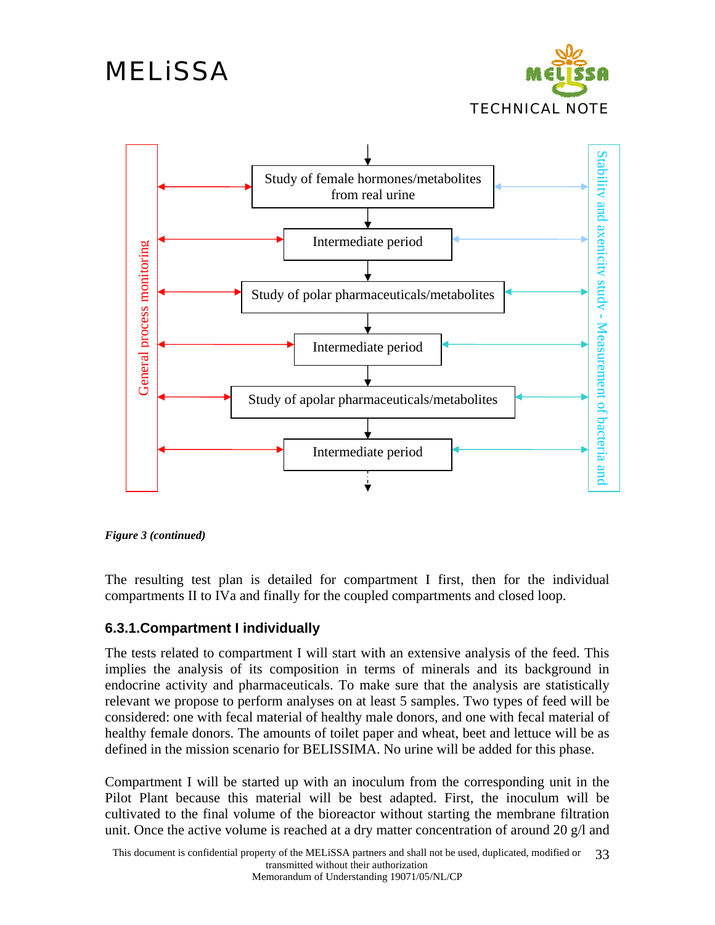

<span id="page-32-0"></span>

*Figure 3 (continued)* 

The resulting test plan is detailed for compartment I first, then for the individual compartments II to IVa and finally for the coupled compartments and closed loop.

#### **6.3.1.Compartment I individually**

The tests related to compartment I will start with an extensive analysis of the feed. This implies the analysis of its composition in terms of minerals and its background in endocrine activity and pharmaceuticals. To make sure that the analysis are statistically relevant we propose to perform analyses on at least 5 samples. Two types of feed will be considered: one with fecal material of healthy male donors, and one with fecal material of healthy female donors. The amounts of toilet paper and wheat, beet and lettuce will be as defined in the mission scenario for BELISSIMA. No urine will be added for this phase.

Compartment I will be started up with an inoculum from the corresponding unit in the Pilot Plant because this material will be best adapted. First, the inoculum will be cultivated to the final volume of the bioreactor without starting the membrane filtration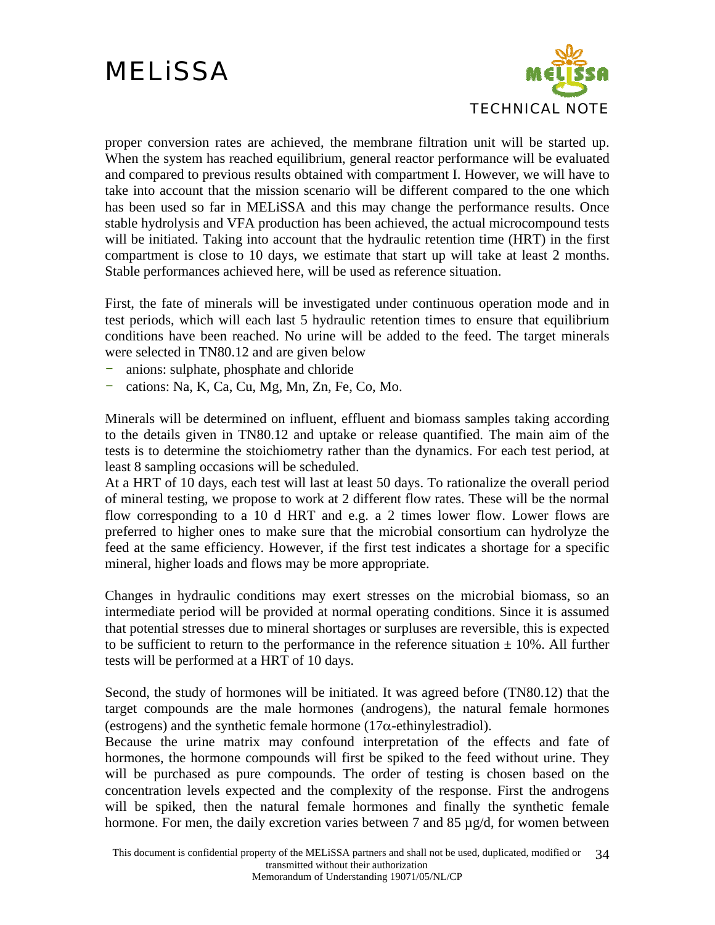

proper conversion rates are achieved, the membrane filtration unit will be started up. When the system has reached equilibrium, general reactor performance will be evaluated and compared to previous results obtained with compartment I. However, we will have to take into account that the mission scenario will be different compared to the one which has been used so far in MELiSSA and this may change the performance results. Once stable hydrolysis and VFA production has been achieved, the actual microcompound tests will be initiated. Taking into account that the hydraulic retention time (HRT) in the first compartment is close to 10 days, we estimate that start up will take at least 2 months. Stable performances achieved here, will be used as reference situation.

First, the fate of minerals will be investigated under continuous operation mode and in test periods, which will each last 5 hydraulic retention times to ensure that equilibrium conditions have been reached. No urine will be added to the feed. The target minerals were selected in TN80.12 and are given below

- anions: sulphate, phosphate and chloride
- cations: Na, K, Ca, Cu, Mg, Mn, Zn, Fe, Co, Mo.

Minerals will be determined on influent, effluent and biomass samples taking according to the details given in TN80.12 and uptake or release quantified. The main aim of the tests is to determine the stoichiometry rather than the dynamics. For each test period, at least 8 sampling occasions will be scheduled.

At a HRT of 10 days, each test will last at least 50 days. To rationalize the overall period of mineral testing, we propose to work at 2 different flow rates. These will be the normal flow corresponding to a 10 d HRT and e.g. a 2 times lower flow. Lower flows are preferred to higher ones to make sure that the microbial consortium can hydrolyze the feed at the same efficiency. However, if the first test indicates a shortage for a specific mineral, higher loads and flows may be more appropriate.

Changes in hydraulic conditions may exert stresses on the microbial biomass, so an intermediate period will be provided at normal operating conditions. Since it is assumed that potential stresses due to mineral shortages or surpluses are reversible, this is expected to be sufficient to return to the performance in the reference situation  $\pm$  10%. All further tests will be performed at a HRT of 10 days.

Second, the study of hormones will be initiated. It was agreed before (TN80.12) that the target compounds are the male hormones (androgens), the natural female hormones (estrogens) and the synthetic female hormone (17 $\alpha$ -ethinylestradiol).

Because the urine matrix may confound interpretation of the effects and fate of hormones, the hormone compounds will first be spiked to the feed without urine. They will be purchased as pure compounds. The order of testing is chosen based on the concentration levels expected and the complexity of the response. First the androgens will be spiked, then the natural female hormones and finally the synthetic female hormone. For men, the daily excretion varies between 7 and 85 µg/d, for women between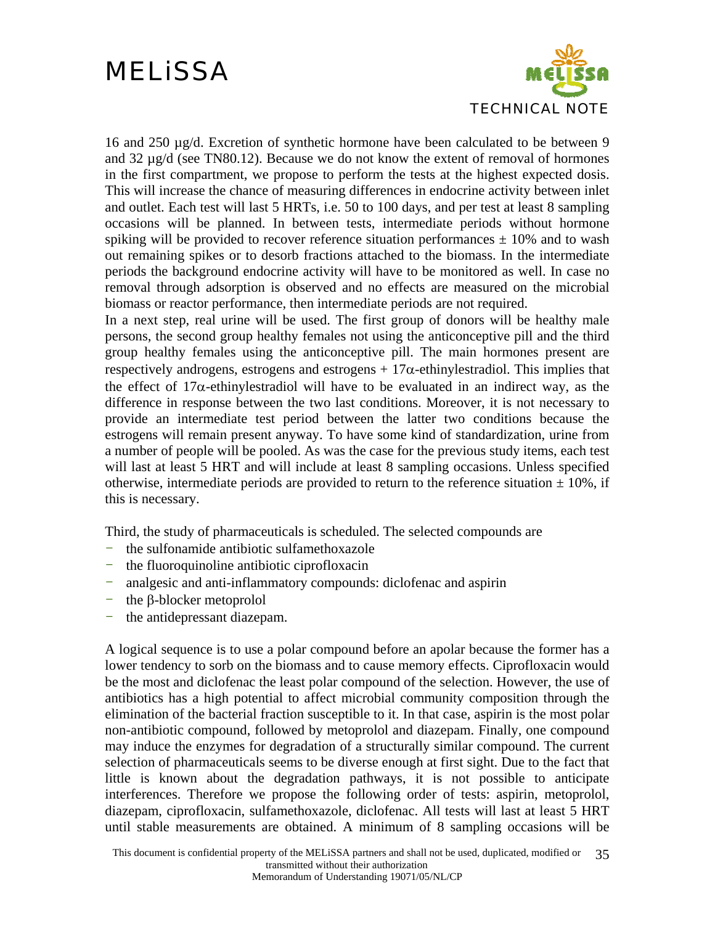

16 and 250 µg/d. Excretion of synthetic hormone have been calculated to be between 9 and 32 µg/d (see TN80.12). Because we do not know the extent of removal of hormones in the first compartment, we propose to perform the tests at the highest expected dosis. This will increase the chance of measuring differences in endocrine activity between inlet and outlet. Each test will last 5 HRTs, i.e. 50 to 100 days, and per test at least 8 sampling occasions will be planned. In between tests, intermediate periods without hormone spiking will be provided to recover reference situation performances  $\pm$  10% and to wash out remaining spikes or to desorb fractions attached to the biomass. In the intermediate periods the background endocrine activity will have to be monitored as well. In case no removal through adsorption is observed and no effects are measured on the microbial biomass or reactor performance, then intermediate periods are not required.

In a next step, real urine will be used. The first group of donors will be healthy male persons, the second group healthy females not using the anticonceptive pill and the third group healthy females using the anticonceptive pill. The main hormones present are respectively androgens, estrogens and estrogens  $+17\alpha$ -ethinylestradiol. This implies that the effect of  $17\alpha$ -ethinylestradiol will have to be evaluated in an indirect way, as the difference in response between the two last conditions. Moreover, it is not necessary to provide an intermediate test period between the latter two conditions because the estrogens will remain present anyway. To have some kind of standardization, urine from a number of people will be pooled. As was the case for the previous study items, each test will last at least 5 HRT and will include at least 8 sampling occasions. Unless specified otherwise, intermediate periods are provided to return to the reference situation  $\pm$  10%, if this is necessary.

Third, the study of pharmaceuticals is scheduled. The selected compounds are

- the sulfonamide antibiotic sulfamethoxazole
- the fluoroquinoline antibiotic ciprofloxacin
- analgesic and anti-inflammatory compounds: diclofenac and aspirin
- the β-blocker metoprolol
- the antidepressant diazepam.

A logical sequence is to use a polar compound before an apolar because the former has a lower tendency to sorb on the biomass and to cause memory effects. Ciprofloxacin would be the most and diclofenac the least polar compound of the selection. However, the use of antibiotics has a high potential to affect microbial community composition through the elimination of the bacterial fraction susceptible to it. In that case, aspirin is the most polar non-antibiotic compound, followed by metoprolol and diazepam. Finally, one compound may induce the enzymes for degradation of a structurally similar compound. The current selection of pharmaceuticals seems to be diverse enough at first sight. Due to the fact that little is known about the degradation pathways, it is not possible to anticipate interferences. Therefore we propose the following order of tests: aspirin, metoprolol, diazepam, ciprofloxacin, sulfamethoxazole, diclofenac. All tests will last at least 5 HRT until stable measurements are obtained. A minimum of 8 sampling occasions will be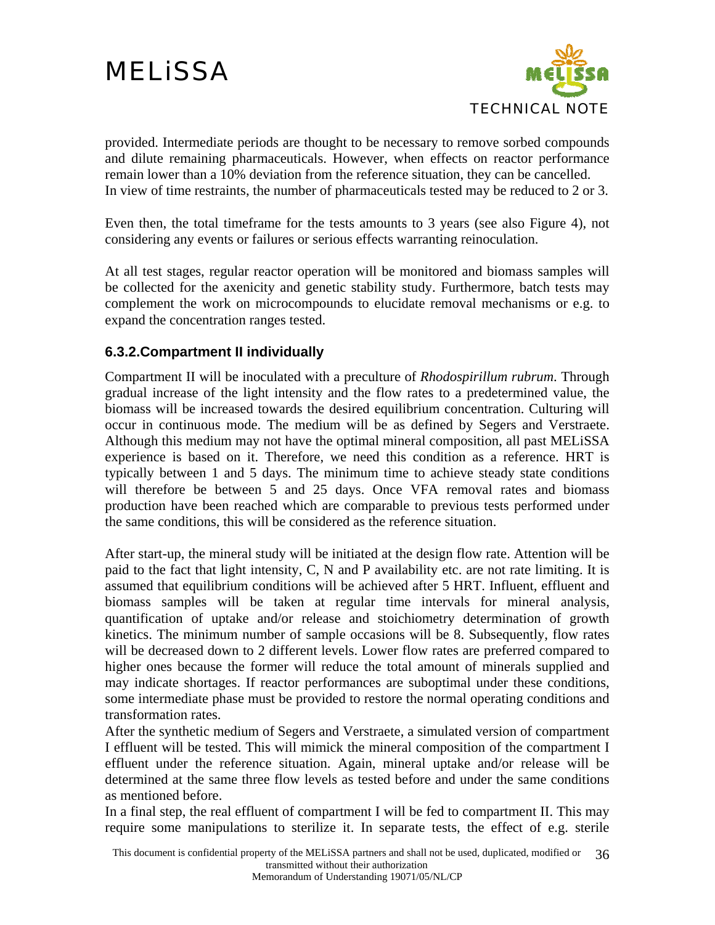

<span id="page-35-0"></span>provided. Intermediate periods are thought to be necessary to remove sorbed compounds and dilute remaining pharmaceuticals. However, when effects on reactor performance remain lower than a 10% deviation from the reference situation, they can be cancelled. In view of time restraints, the number of pharmaceuticals tested may be reduced to 2 or 3.

Even then, the total timeframe for the tests amounts to 3 years (see also [Figure 4](#page-38-1)), not considering any events or failures or serious effects warranting reinoculation.

At all test stages, regular reactor operation will be monitored and biomass samples will be collected for the axenicity and genetic stability study. Furthermore, batch tests may complement the work on microcompounds to elucidate removal mechanisms or e.g. to expand the concentration ranges tested.

#### **6.3.2.Compartment II individually**

Compartment II will be inoculated with a preculture of *Rhodospirillum rubrum*. Through gradual increase of the light intensity and the flow rates to a predetermined value, the biomass will be increased towards the desired equilibrium concentration. Culturing will occur in continuous mode. The medium will be as defined by Segers and Verstraete. Although this medium may not have the optimal mineral composition, all past MELiSSA experience is based on it. Therefore, we need this condition as a reference. HRT is typically between 1 and 5 days. The minimum time to achieve steady state conditions will therefore be between 5 and 25 days. Once VFA removal rates and biomass production have been reached which are comparable to previous tests performed under the same conditions, this will be considered as the reference situation.

After start-up, the mineral study will be initiated at the design flow rate. Attention will be paid to the fact that light intensity, C, N and P availability etc. are not rate limiting. It is assumed that equilibrium conditions will be achieved after 5 HRT. Influent, effluent and biomass samples will be taken at regular time intervals for mineral analysis, quantification of uptake and/or release and stoichiometry determination of growth kinetics. The minimum number of sample occasions will be 8. Subsequently, flow rates will be decreased down to 2 different levels. Lower flow rates are preferred compared to higher ones because the former will reduce the total amount of minerals supplied and may indicate shortages. If reactor performances are suboptimal under these conditions, some intermediate phase must be provided to restore the normal operating conditions and transformation rates.

After the synthetic medium of Segers and Verstraete, a simulated version of compartment I effluent will be tested. This will mimick the mineral composition of the compartment I effluent under the reference situation. Again, mineral uptake and/or release will be determined at the same three flow levels as tested before and under the same conditions as mentioned before.

In a final step, the real effluent of compartment I will be fed to compartment II. This may require some manipulations to sterilize it. In separate tests, the effect of e.g. sterile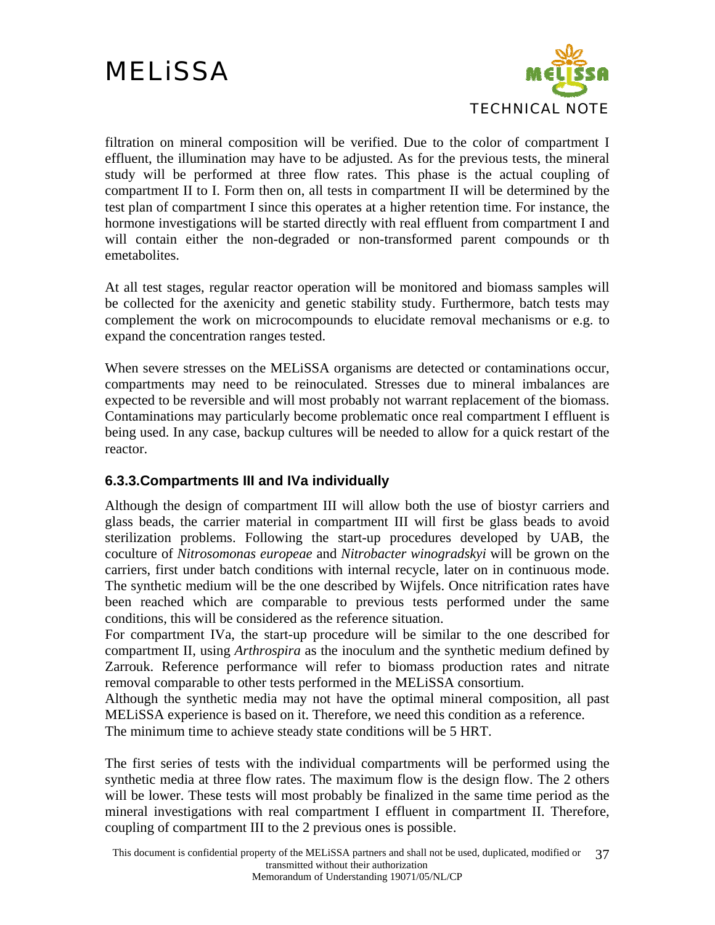

<span id="page-36-0"></span>filtration on mineral composition will be verified. Due to the color of compartment I effluent, the illumination may have to be adjusted. As for the previous tests, the mineral study will be performed at three flow rates. This phase is the actual coupling of compartment II to I. Form then on, all tests in compartment II will be determined by the test plan of compartment I since this operates at a higher retention time. For instance, the hormone investigations will be started directly with real effluent from compartment I and will contain either the non-degraded or non-transformed parent compounds or th emetabolites.

At all test stages, regular reactor operation will be monitored and biomass samples will be collected for the axenicity and genetic stability study. Furthermore, batch tests may complement the work on microcompounds to elucidate removal mechanisms or e.g. to expand the concentration ranges tested.

When severe stresses on the MELiSSA organisms are detected or contaminations occur, compartments may need to be reinoculated. Stresses due to mineral imbalances are expected to be reversible and will most probably not warrant replacement of the biomass. Contaminations may particularly become problematic once real compartment I effluent is being used. In any case, backup cultures will be needed to allow for a quick restart of the reactor.

#### **6.3.3.Compartments III and IVa individually**

Although the design of compartment III will allow both the use of biostyr carriers and glass beads, the carrier material in compartment III will first be glass beads to avoid sterilization problems. Following the start-up procedures developed by UAB, the coculture of *Nitrosomonas europeae* and *Nitrobacter winogradskyi* will be grown on the carriers, first under batch conditions with internal recycle, later on in continuous mode. The synthetic medium will be the one described by Wijfels. Once nitrification rates have been reached which are comparable to previous tests performed under the same conditions, this will be considered as the reference situation.

For compartment IVa, the start-up procedure will be similar to the one described for compartment II, using *Arthrospira* as the inoculum and the synthetic medium defined by Zarrouk. Reference performance will refer to biomass production rates and nitrate removal comparable to other tests performed in the MELiSSA consortium.

Although the synthetic media may not have the optimal mineral composition, all past MELiSSA experience is based on it. Therefore, we need this condition as a reference. The minimum time to achieve steady state conditions will be 5 HRT.

The first series of tests with the individual compartments will be performed using the synthetic media at three flow rates. The maximum flow is the design flow. The 2 others will be lower. These tests will most probably be finalized in the same time period as the mineral investigations with real compartment I effluent in compartment II. Therefore, coupling of compartment III to the 2 previous ones is possible.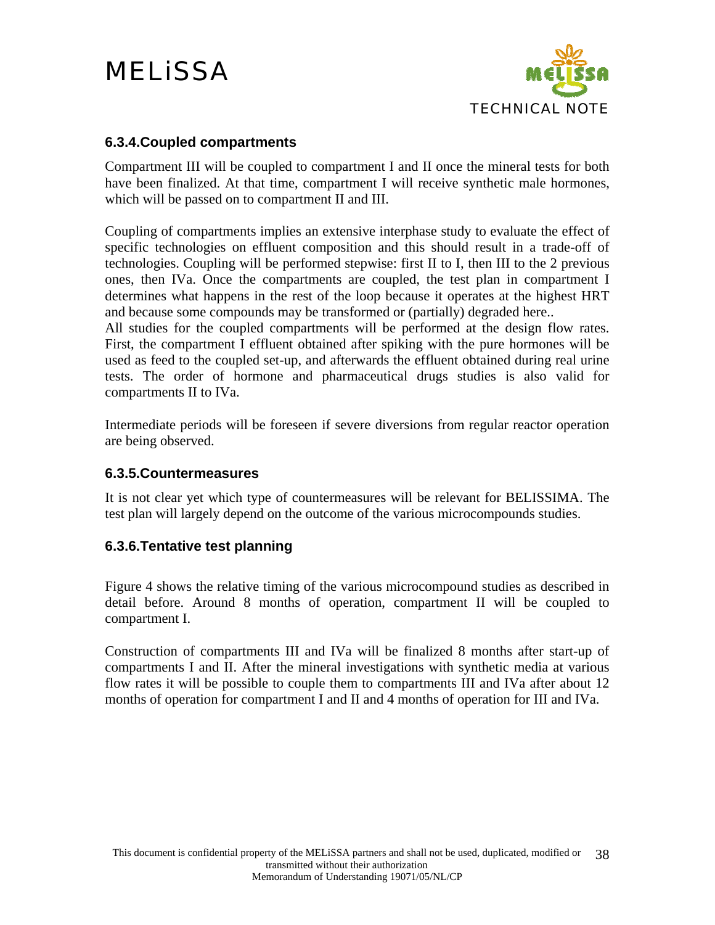

#### <span id="page-37-0"></span>**6.3.4.Coupled compartments**

Compartment III will be coupled to compartment I and II once the mineral tests for both have been finalized. At that time, compartment I will receive synthetic male hormones, which will be passed on to compartment II and III.

Coupling of compartments implies an extensive interphase study to evaluate the effect of specific technologies on effluent composition and this should result in a trade-off of technologies. Coupling will be performed stepwise: first II to I, then III to the 2 previous ones, then IVa. Once the compartments are coupled, the test plan in compartment I determines what happens in the rest of the loop because it operates at the highest HRT and because some compounds may be transformed or (partially) degraded here..

All studies for the coupled compartments will be performed at the design flow rates. First, the compartment I effluent obtained after spiking with the pure hormones will be used as feed to the coupled set-up, and afterwards the effluent obtained during real urine tests. The order of hormone and pharmaceutical drugs studies is also valid for compartments II to IVa.

Intermediate periods will be foreseen if severe diversions from regular reactor operation are being observed.

#### **6.3.5.Countermeasures**

It is not clear yet which type of countermeasures will be relevant for BELISSIMA. The test plan will largely depend on the outcome of the various microcompounds studies.

#### **6.3.6.Tentative test planning**

[Figure 4](#page-38-1) shows the relative timing of the various microcompound studies as described in detail before. Around 8 months of operation, compartment II will be coupled to compartment I.

Construction of compartments III and IVa will be finalized 8 months after start-up of compartments I and II. After the mineral investigations with synthetic media at various flow rates it will be possible to couple them to compartments III and IVa after about 12 months of operation for compartment I and II and 4 months of operation for III and IVa.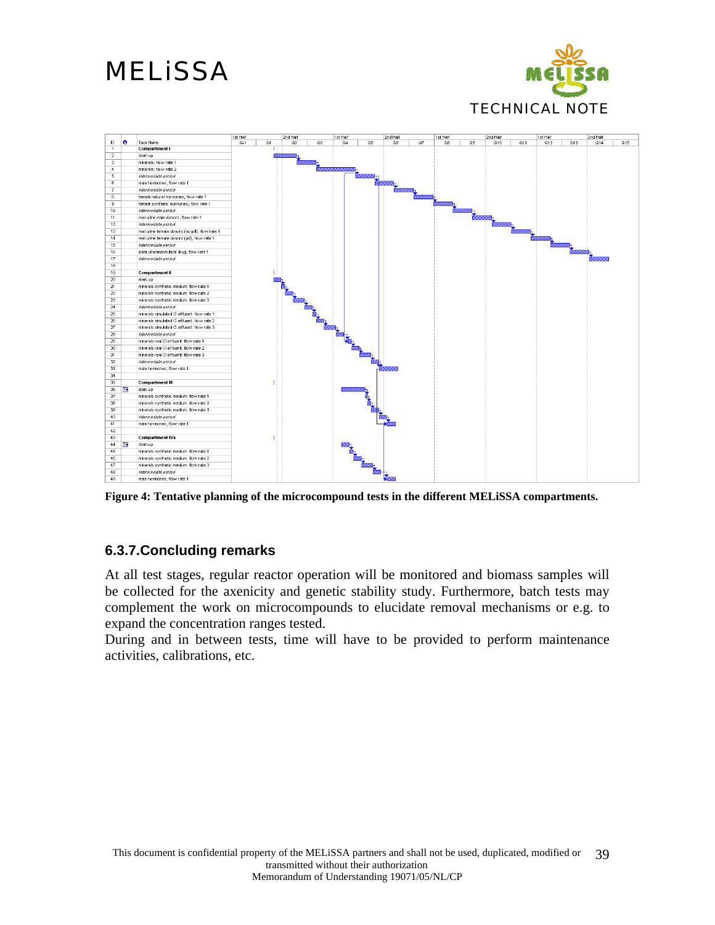

<span id="page-38-0"></span>

<span id="page-38-1"></span>**Figure 4: Tentative planning of the microcompound tests in the different MELiSSA compartments.** 

#### **6.3.7.Concluding remarks**

At all test stages, regular reactor operation will be monitored and biomass samples will be collected for the axenicity and genetic stability study. Furthermore, batch tests may complement the work on microcompounds to elucidate removal mechanisms or e.g. to expand the concentration ranges tested.

During and in between tests, time will have to be provided to perform maintenance activities, calibrations, etc.